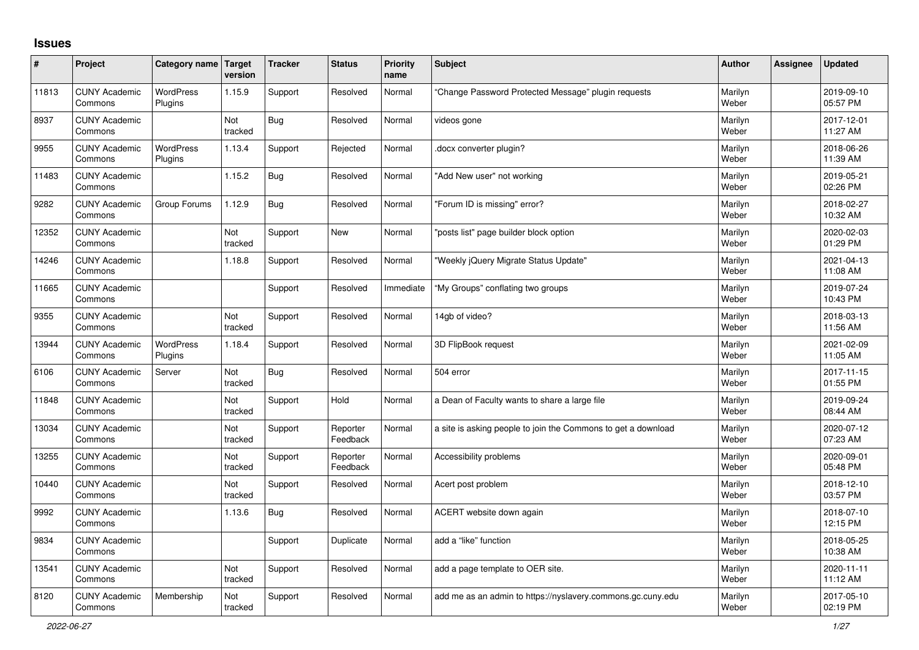## **Issues**

| ∦     | Project                         | Category name Target        | version        | <b>Tracker</b> | <b>Status</b>        | <b>Priority</b><br>name | <b>Subject</b>                                                | <b>Author</b>    | <b>Assignee</b> | <b>Updated</b>         |
|-------|---------------------------------|-----------------------------|----------------|----------------|----------------------|-------------------------|---------------------------------------------------------------|------------------|-----------------|------------------------|
| 11813 | <b>CUNY Academic</b><br>Commons | <b>WordPress</b><br>Plugins | 1.15.9         | Support        | Resolved             | Normal                  | Change Password Protected Message" plugin requests            | Marilyn<br>Weber |                 | 2019-09-10<br>05:57 PM |
| 8937  | <b>CUNY Academic</b><br>Commons |                             | Not<br>tracked | Bug            | Resolved             | Normal                  | videos gone                                                   | Marilyn<br>Weber |                 | 2017-12-01<br>11:27 AM |
| 9955  | <b>CUNY Academic</b><br>Commons | <b>WordPress</b><br>Plugins | 1.13.4         | Support        | Rejected             | Normal                  | docx converter plugin?                                        | Marilyn<br>Weber |                 | 2018-06-26<br>11:39 AM |
| 11483 | <b>CUNY Academic</b><br>Commons |                             | 1.15.2         | Bug            | Resolved             | Normal                  | 'Add New user" not working                                    | Marilyn<br>Weber |                 | 2019-05-21<br>02:26 PM |
| 9282  | <b>CUNY Academic</b><br>Commons | Group Forums                | 1.12.9         | <b>Bug</b>     | Resolved             | Normal                  | 'Forum ID is missing" error?                                  | Marilyn<br>Weber |                 | 2018-02-27<br>10:32 AM |
| 12352 | <b>CUNY Academic</b><br>Commons |                             | Not<br>tracked | Support        | <b>New</b>           | Normal                  | 'posts list" page builder block option                        | Marilyn<br>Weber |                 | 2020-02-03<br>01:29 PM |
| 14246 | <b>CUNY Academic</b><br>Commons |                             | 1.18.8         | Support        | Resolved             | Normal                  | "Weekly jQuery Migrate Status Update"                         | Marilyn<br>Weber |                 | 2021-04-13<br>11:08 AM |
| 11665 | <b>CUNY Academic</b><br>Commons |                             |                | Support        | Resolved             | Immediate               | "My Groups" conflating two groups                             | Marilyn<br>Weber |                 | 2019-07-24<br>10:43 PM |
| 9355  | <b>CUNY Academic</b><br>Commons |                             | Not<br>tracked | Support        | Resolved             | Normal                  | 14gb of video?                                                | Marilyn<br>Weber |                 | 2018-03-13<br>11:56 AM |
| 13944 | <b>CUNY Academic</b><br>Commons | <b>WordPress</b><br>Plugins | 1.18.4         | Support        | Resolved             | Normal                  | 3D FlipBook request                                           | Marilyn<br>Weber |                 | 2021-02-09<br>11:05 AM |
| 6106  | <b>CUNY Academic</b><br>Commons | Server                      | Not<br>tracked | Bug            | Resolved             | Normal                  | 504 error                                                     | Marilyn<br>Weber |                 | 2017-11-15<br>01:55 PM |
| 11848 | <b>CUNY Academic</b><br>Commons |                             | Not<br>tracked | Support        | Hold                 | Normal                  | a Dean of Faculty wants to share a large file                 | Marilyn<br>Weber |                 | 2019-09-24<br>08:44 AM |
| 13034 | <b>CUNY Academic</b><br>Commons |                             | Not<br>tracked | Support        | Reporter<br>Feedback | Normal                  | a site is asking people to join the Commons to get a download | Marilyn<br>Weber |                 | 2020-07-12<br>07:23 AM |
| 13255 | <b>CUNY Academic</b><br>Commons |                             | Not<br>tracked | Support        | Reporter<br>Feedback | Normal                  | Accessibility problems                                        | Marilyn<br>Weber |                 | 2020-09-01<br>05:48 PM |
| 10440 | <b>CUNY Academic</b><br>Commons |                             | Not<br>tracked | Support        | Resolved             | Normal                  | Acert post problem                                            | Marilyn<br>Weber |                 | 2018-12-10<br>03:57 PM |
| 9992  | <b>CUNY Academic</b><br>Commons |                             | 1.13.6         | <b>Bug</b>     | Resolved             | Normal                  | ACERT website down again                                      | Marilyn<br>Weber |                 | 2018-07-10<br>12:15 PM |
| 9834  | <b>CUNY Academic</b><br>Commons |                             |                | Support        | Duplicate            | Normal                  | add a "like" function                                         | Marilyn<br>Weber |                 | 2018-05-25<br>10:38 AM |
| 13541 | <b>CUNY Academic</b><br>Commons |                             | Not<br>tracked | Support        | Resolved             | Normal                  | add a page template to OER site.                              | Marilyn<br>Weber |                 | 2020-11-11<br>11:12 AM |
| 8120  | <b>CUNY Academic</b><br>Commons | Membership                  | Not<br>tracked | Support        | Resolved             | Normal                  | add me as an admin to https://nyslavery.commons.gc.cuny.edu   | Marilyn<br>Weber |                 | 2017-05-10<br>02:19 PM |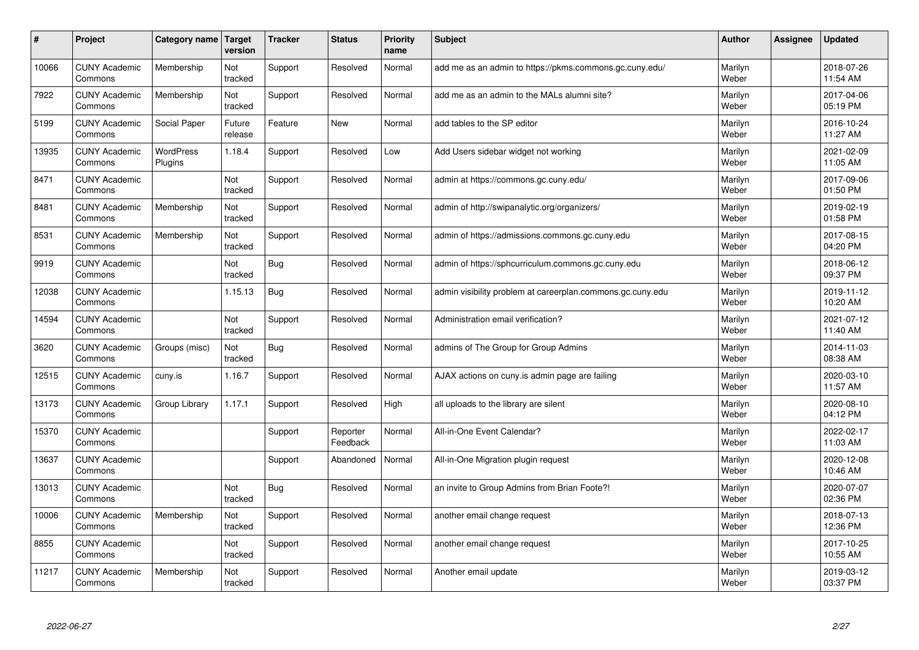| #     | Project                         | Category name               | Target<br>version | <b>Tracker</b> | <b>Status</b>        | <b>Priority</b><br>name | <b>Subject</b>                                             | <b>Author</b>    | Assignee | <b>Updated</b>         |
|-------|---------------------------------|-----------------------------|-------------------|----------------|----------------------|-------------------------|------------------------------------------------------------|------------------|----------|------------------------|
| 10066 | <b>CUNY Academic</b><br>Commons | Membership                  | Not<br>tracked    | Support        | Resolved             | Normal                  | add me as an admin to https://pkms.commons.gc.cuny.edu/    | Marilyn<br>Weber |          | 2018-07-26<br>11:54 AM |
| 7922  | <b>CUNY Academic</b><br>Commons | Membership                  | Not<br>tracked    | Support        | Resolved             | Normal                  | add me as an admin to the MALs alumni site?                | Marilyn<br>Weber |          | 2017-04-06<br>05:19 PM |
| 5199  | <b>CUNY Academic</b><br>Commons | Social Paper                | Future<br>release | Feature        | <b>New</b>           | Normal                  | add tables to the SP editor                                | Marilyn<br>Weber |          | 2016-10-24<br>11:27 AM |
| 13935 | <b>CUNY Academic</b><br>Commons | <b>WordPress</b><br>Plugins | 1.18.4            | Support        | Resolved             | Low                     | Add Users sidebar widget not working                       | Marilyn<br>Weber |          | 2021-02-09<br>11:05 AM |
| 8471  | <b>CUNY Academic</b><br>Commons |                             | Not<br>tracked    | Support        | Resolved             | Normal                  | admin at https://commons.gc.cuny.edu/                      | Marilyn<br>Weber |          | 2017-09-06<br>01:50 PM |
| 8481  | <b>CUNY Academic</b><br>Commons | Membership                  | Not<br>tracked    | Support        | Resolved             | Normal                  | admin of http://swipanalytic.org/organizers/               | Marilyn<br>Weber |          | 2019-02-19<br>01:58 PM |
| 8531  | <b>CUNY Academic</b><br>Commons | Membership                  | Not<br>tracked    | Support        | Resolved             | Normal                  | admin of https://admissions.commons.gc.cuny.edu            | Marilyn<br>Weber |          | 2017-08-15<br>04:20 PM |
| 9919  | <b>CUNY Academic</b><br>Commons |                             | Not<br>tracked    | <b>Bug</b>     | Resolved             | Normal                  | admin of https://sphcurriculum.commons.gc.cuny.edu         | Marilyn<br>Weber |          | 2018-06-12<br>09:37 PM |
| 12038 | <b>CUNY Academic</b><br>Commons |                             | 1.15.13           | Bug            | Resolved             | Normal                  | admin visibility problem at careerplan.commons.gc.cuny.edu | Marilyn<br>Weber |          | 2019-11-12<br>10:20 AM |
| 14594 | <b>CUNY Academic</b><br>Commons |                             | Not<br>tracked    | Support        | Resolved             | Normal                  | Administration email verification?                         | Marilyn<br>Weber |          | 2021-07-12<br>11:40 AM |
| 3620  | <b>CUNY Academic</b><br>Commons | Groups (misc)               | Not<br>tracked    | <b>Bug</b>     | Resolved             | Normal                  | admins of The Group for Group Admins                       | Marilyn<br>Weber |          | 2014-11-03<br>08:38 AM |
| 12515 | <b>CUNY Academic</b><br>Commons | cuny.is                     | 1.16.7            | Support        | Resolved             | Normal                  | AJAX actions on cuny is admin page are failing             | Marilyn<br>Weber |          | 2020-03-10<br>11:57 AM |
| 13173 | <b>CUNY Academic</b><br>Commons | Group Library               | 1.17.1            | Support        | Resolved             | High                    | all uploads to the library are silent                      | Marilyn<br>Weber |          | 2020-08-10<br>04:12 PM |
| 15370 | <b>CUNY Academic</b><br>Commons |                             |                   | Support        | Reporter<br>Feedback | Normal                  | All-in-One Event Calendar?                                 | Marilyn<br>Weber |          | 2022-02-17<br>11:03 AM |
| 13637 | <b>CUNY Academic</b><br>Commons |                             |                   | Support        | Abandoned            | Normal                  | All-in-One Migration plugin request                        | Marilyn<br>Weber |          | 2020-12-08<br>10:46 AM |
| 13013 | <b>CUNY Academic</b><br>Commons |                             | Not<br>tracked    | Bug            | Resolved             | Normal                  | an invite to Group Admins from Brian Foote?!               | Marilyn<br>Weber |          | 2020-07-07<br>02:36 PM |
| 10006 | <b>CUNY Academic</b><br>Commons | Membership                  | Not<br>tracked    | Support        | Resolved             | Normal                  | another email change request                               | Marilyn<br>Weber |          | 2018-07-13<br>12:36 PM |
| 8855  | <b>CUNY Academic</b><br>Commons |                             | Not<br>tracked    | Support        | Resolved             | Normal                  | another email change request                               | Marilyn<br>Weber |          | 2017-10-25<br>10:55 AM |
| 11217 | <b>CUNY Academic</b><br>Commons | Membership                  | Not<br>tracked    | Support        | Resolved             | Normal                  | Another email update                                       | Marilyn<br>Weber |          | 2019-03-12<br>03:37 PM |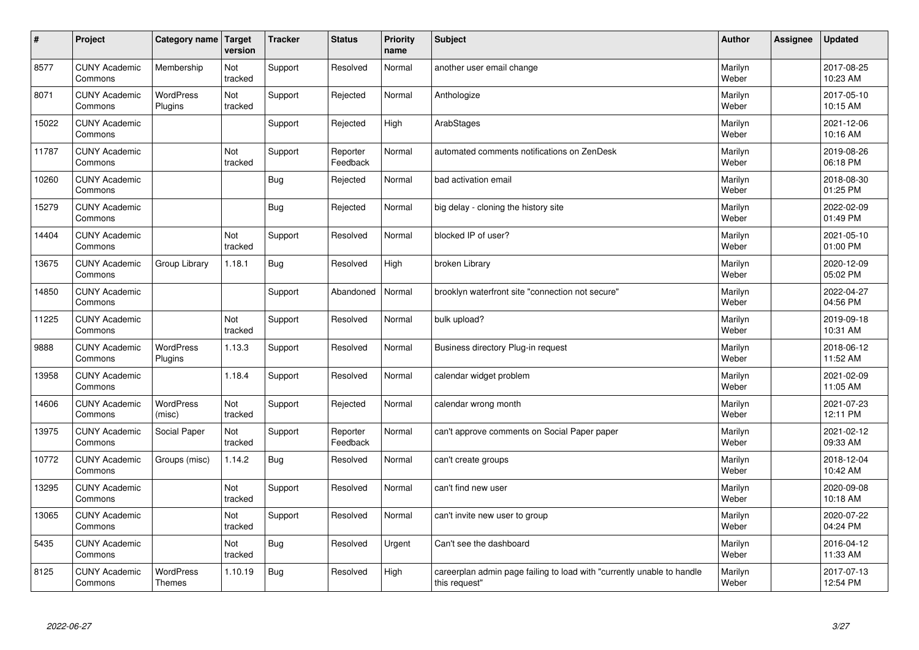| $\vert$ # | Project                         | Category name   Target            | version        | <b>Tracker</b> | <b>Status</b>        | <b>Priority</b><br>name | <b>Subject</b>                                                                          | <b>Author</b>    | Assignee | <b>Updated</b>         |
|-----------|---------------------------------|-----------------------------------|----------------|----------------|----------------------|-------------------------|-----------------------------------------------------------------------------------------|------------------|----------|------------------------|
| 8577      | <b>CUNY Academic</b><br>Commons | Membership                        | Not<br>tracked | Support        | Resolved             | Normal                  | another user email change                                                               | Marilyn<br>Weber |          | 2017-08-25<br>10:23 AM |
| 8071      | <b>CUNY Academic</b><br>Commons | <b>WordPress</b><br>Plugins       | Not<br>tracked | Support        | Rejected             | Normal                  | Anthologize                                                                             | Marilyn<br>Weber |          | 2017-05-10<br>10:15 AM |
| 15022     | <b>CUNY Academic</b><br>Commons |                                   |                | Support        | Rejected             | High                    | ArabStages                                                                              | Marilyn<br>Weber |          | 2021-12-06<br>10:16 AM |
| 11787     | <b>CUNY Academic</b><br>Commons |                                   | Not<br>tracked | Support        | Reporter<br>Feedback | Normal                  | automated comments notifications on ZenDesk                                             | Marilyn<br>Weber |          | 2019-08-26<br>06:18 PM |
| 10260     | <b>CUNY Academic</b><br>Commons |                                   |                | <b>Bug</b>     | Rejected             | Normal                  | bad activation email                                                                    | Marilyn<br>Weber |          | 2018-08-30<br>01:25 PM |
| 15279     | <b>CUNY Academic</b><br>Commons |                                   |                | <b>Bug</b>     | Rejected             | Normal                  | big delay - cloning the history site                                                    | Marilyn<br>Weber |          | 2022-02-09<br>01:49 PM |
| 14404     | <b>CUNY Academic</b><br>Commons |                                   | Not<br>tracked | Support        | Resolved             | Normal                  | blocked IP of user?                                                                     | Marilyn<br>Weber |          | 2021-05-10<br>01:00 PM |
| 13675     | <b>CUNY Academic</b><br>Commons | Group Library                     | 1.18.1         | <b>Bug</b>     | Resolved             | High                    | broken Library                                                                          | Marilyn<br>Weber |          | 2020-12-09<br>05:02 PM |
| 14850     | <b>CUNY Academic</b><br>Commons |                                   |                | Support        | Abandoned            | Normal                  | brooklyn waterfront site "connection not secure"                                        | Marilyn<br>Weber |          | 2022-04-27<br>04:56 PM |
| 11225     | <b>CUNY Academic</b><br>Commons |                                   | Not<br>tracked | Support        | Resolved             | Normal                  | bulk upload?                                                                            | Marilyn<br>Weber |          | 2019-09-18<br>10:31 AM |
| 9888      | <b>CUNY Academic</b><br>Commons | WordPress<br>Plugins              | 1.13.3         | Support        | Resolved             | Normal                  | Business directory Plug-in request                                                      | Marilyn<br>Weber |          | 2018-06-12<br>11:52 AM |
| 13958     | <b>CUNY Academic</b><br>Commons |                                   | 1.18.4         | Support        | Resolved             | Normal                  | calendar widget problem                                                                 | Marilyn<br>Weber |          | 2021-02-09<br>11:05 AM |
| 14606     | <b>CUNY Academic</b><br>Commons | <b>WordPress</b><br>(misc)        | Not<br>tracked | Support        | Rejected             | Normal                  | calendar wrong month                                                                    | Marilyn<br>Weber |          | 2021-07-23<br>12:11 PM |
| 13975     | <b>CUNY Academic</b><br>Commons | Social Paper                      | Not<br>tracked | Support        | Reporter<br>Feedback | Normal                  | can't approve comments on Social Paper paper                                            | Marilyn<br>Weber |          | 2021-02-12<br>09:33 AM |
| 10772     | <b>CUNY Academic</b><br>Commons | Groups (misc)                     | 1.14.2         | <b>Bug</b>     | Resolved             | Normal                  | can't create groups                                                                     | Marilyn<br>Weber |          | 2018-12-04<br>10:42 AM |
| 13295     | <b>CUNY Academic</b><br>Commons |                                   | Not<br>tracked | Support        | Resolved             | Normal                  | can't find new user                                                                     | Marilyn<br>Weber |          | 2020-09-08<br>10:18 AM |
| 13065     | <b>CUNY Academic</b><br>Commons |                                   | Not<br>tracked | Support        | Resolved             | Normal                  | can't invite new user to group                                                          | Marilyn<br>Weber |          | 2020-07-22<br>04:24 PM |
| 5435      | <b>CUNY Academic</b><br>Commons |                                   | Not<br>tracked | <b>Bug</b>     | Resolved             | Urgent                  | Can't see the dashboard                                                                 | Marilyn<br>Weber |          | 2016-04-12<br>11:33 AM |
| 8125      | <b>CUNY Academic</b><br>Commons | <b>WordPress</b><br><b>Themes</b> | 1.10.19        | Bug            | Resolved             | High                    | careerplan admin page failing to load with "currently unable to handle<br>this request" | Marilyn<br>Weber |          | 2017-07-13<br>12:54 PM |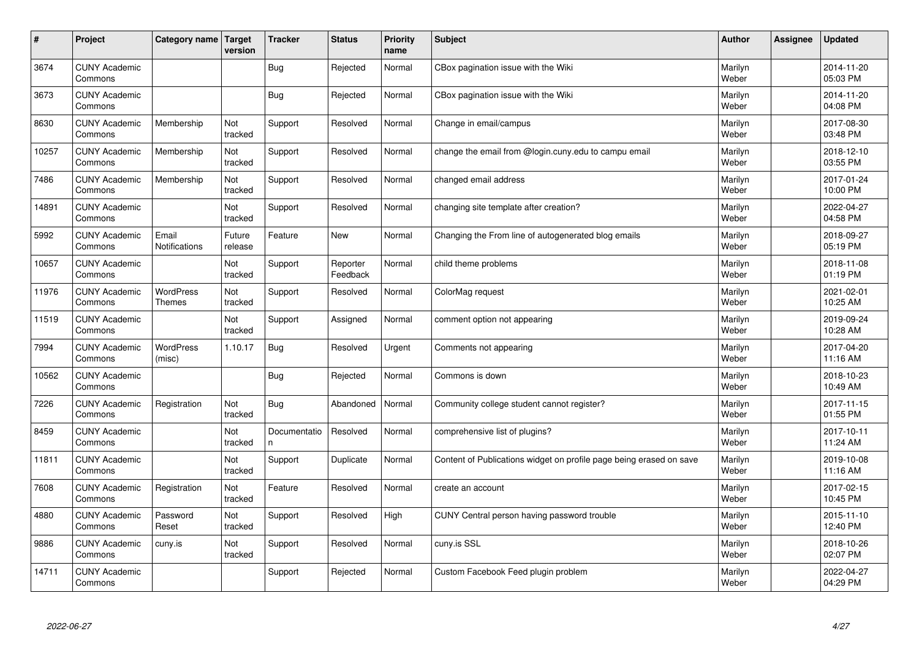| #     | Project                         | Category name   Target            | version           | <b>Tracker</b>     | <b>Status</b>        | <b>Priority</b><br>name | <b>Subject</b>                                                      | <b>Author</b>    | Assignee | <b>Updated</b>         |
|-------|---------------------------------|-----------------------------------|-------------------|--------------------|----------------------|-------------------------|---------------------------------------------------------------------|------------------|----------|------------------------|
| 3674  | <b>CUNY Academic</b><br>Commons |                                   |                   | Bug                | Rejected             | Normal                  | CBox pagination issue with the Wiki                                 | Marilyn<br>Weber |          | 2014-11-20<br>05:03 PM |
| 3673  | <b>CUNY Academic</b><br>Commons |                                   |                   | Bug                | Rejected             | Normal                  | CBox pagination issue with the Wiki                                 | Marilyn<br>Weber |          | 2014-11-20<br>04:08 PM |
| 8630  | <b>CUNY Academic</b><br>Commons | Membership                        | Not<br>tracked    | Support            | Resolved             | Normal                  | Change in email/campus                                              | Marilyn<br>Weber |          | 2017-08-30<br>03:48 PM |
| 10257 | <b>CUNY Academic</b><br>Commons | Membership                        | Not<br>tracked    | Support            | Resolved             | Normal                  | change the email from @login.cuny.edu to campu email                | Marilyn<br>Weber |          | 2018-12-10<br>03:55 PM |
| 7486  | <b>CUNY Academic</b><br>Commons | Membership                        | Not<br>tracked    | Support            | Resolved             | Normal                  | changed email address                                               | Marilyn<br>Weber |          | 2017-01-24<br>10:00 PM |
| 14891 | <b>CUNY Academic</b><br>Commons |                                   | Not<br>tracked    | Support            | Resolved             | Normal                  | changing site template after creation?                              | Marilyn<br>Weber |          | 2022-04-27<br>04:58 PM |
| 5992  | <b>CUNY Academic</b><br>Commons | Email<br>Notifications            | Future<br>release | Feature            | <b>New</b>           | Normal                  | Changing the From line of autogenerated blog emails                 | Marilyn<br>Weber |          | 2018-09-27<br>05:19 PM |
| 10657 | <b>CUNY Academic</b><br>Commons |                                   | Not<br>tracked    | Support            | Reporter<br>Feedback | Normal                  | child theme problems                                                | Marilyn<br>Weber |          | 2018-11-08<br>01:19 PM |
| 11976 | <b>CUNY Academic</b><br>Commons | <b>WordPress</b><br><b>Themes</b> | Not<br>tracked    | Support            | Resolved             | Normal                  | ColorMag request                                                    | Marilyn<br>Weber |          | 2021-02-01<br>10:25 AM |
| 11519 | <b>CUNY Academic</b><br>Commons |                                   | Not<br>tracked    | Support            | Assigned             | Normal                  | comment option not appearing                                        | Marilyn<br>Weber |          | 2019-09-24<br>10:28 AM |
| 7994  | <b>CUNY Academic</b><br>Commons | <b>WordPress</b><br>(misc)        | 1.10.17           | <b>Bug</b>         | Resolved             | Urgent                  | Comments not appearing                                              | Marilyn<br>Weber |          | 2017-04-20<br>11:16 AM |
| 10562 | <b>CUNY Academic</b><br>Commons |                                   |                   | Bug                | Rejected             | Normal                  | Commons is down                                                     | Marilyn<br>Weber |          | 2018-10-23<br>10:49 AM |
| 7226  | <b>CUNY Academic</b><br>Commons | Registration                      | Not<br>tracked    | Bug                | Abandoned            | Normal                  | Community college student cannot register?                          | Marilyn<br>Weber |          | 2017-11-15<br>01:55 PM |
| 8459  | <b>CUNY Academic</b><br>Commons |                                   | Not<br>tracked    | Documentatio<br>n. | Resolved             | Normal                  | comprehensive list of plugins?                                      | Marilyn<br>Weber |          | 2017-10-11<br>11:24 AM |
| 11811 | <b>CUNY Academic</b><br>Commons |                                   | Not<br>tracked    | Support            | Duplicate            | Normal                  | Content of Publications widget on profile page being erased on save | Marilyn<br>Weber |          | 2019-10-08<br>11:16 AM |
| 7608  | <b>CUNY Academic</b><br>Commons | Registration                      | Not<br>tracked    | Feature            | Resolved             | Normal                  | create an account                                                   | Marilyn<br>Weber |          | 2017-02-15<br>10:45 PM |
| 4880  | <b>CUNY Academic</b><br>Commons | Password<br>Reset                 | Not<br>tracked    | Support            | Resolved             | High                    | CUNY Central person having password trouble                         | Marilyn<br>Weber |          | 2015-11-10<br>12:40 PM |
| 9886  | <b>CUNY Academic</b><br>Commons | cuny.is                           | Not<br>tracked    | Support            | Resolved             | Normal                  | cuny.is SSL                                                         | Marilyn<br>Weber |          | 2018-10-26<br>02:07 PM |
| 14711 | <b>CUNY Academic</b><br>Commons |                                   |                   | Support            | Rejected             | Normal                  | Custom Facebook Feed plugin problem                                 | Marilyn<br>Weber |          | 2022-04-27<br>04:29 PM |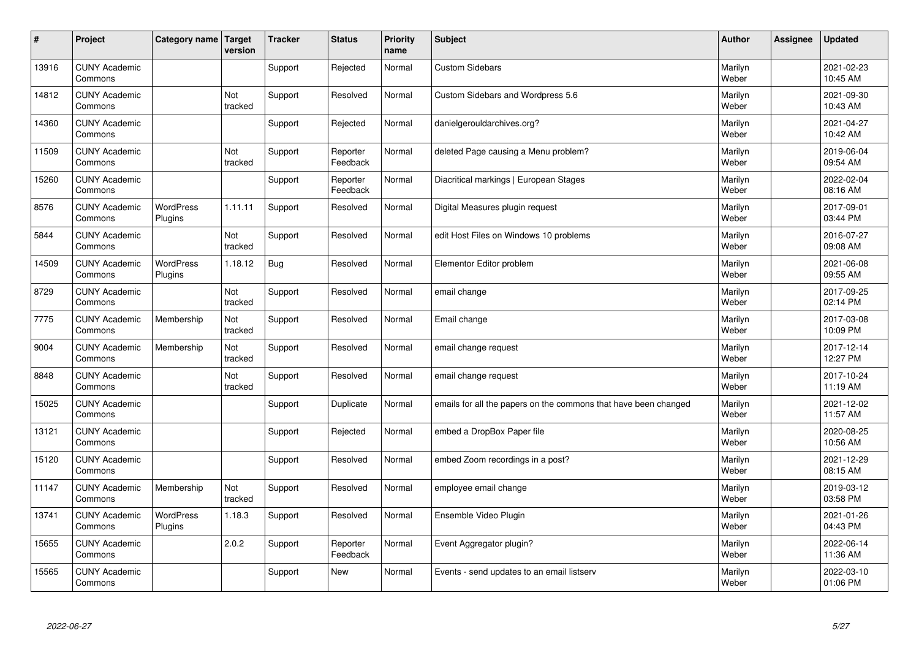| $\sharp$ | Project                         | Category name               | Target<br>version | <b>Tracker</b> | <b>Status</b>        | <b>Priority</b><br>name | <b>Subject</b>                                                  | <b>Author</b>    | <b>Assignee</b> | <b>Updated</b>         |
|----------|---------------------------------|-----------------------------|-------------------|----------------|----------------------|-------------------------|-----------------------------------------------------------------|------------------|-----------------|------------------------|
| 13916    | <b>CUNY Academic</b><br>Commons |                             |                   | Support        | Rejected             | Normal                  | <b>Custom Sidebars</b>                                          | Marilyn<br>Weber |                 | 2021-02-23<br>10:45 AM |
| 14812    | <b>CUNY Academic</b><br>Commons |                             | Not<br>tracked    | Support        | Resolved             | Normal                  | Custom Sidebars and Wordpress 5.6                               | Marilyn<br>Weber |                 | 2021-09-30<br>10:43 AM |
| 14360    | <b>CUNY Academic</b><br>Commons |                             |                   | Support        | Rejected             | Normal                  | danielgerouldarchives.org?                                      | Marilyn<br>Weber |                 | 2021-04-27<br>10:42 AM |
| 11509    | <b>CUNY Academic</b><br>Commons |                             | Not<br>tracked    | Support        | Reporter<br>Feedback | Normal                  | deleted Page causing a Menu problem?                            | Marilyn<br>Weber |                 | 2019-06-04<br>09:54 AM |
| 15260    | <b>CUNY Academic</b><br>Commons |                             |                   | Support        | Reporter<br>Feedback | Normal                  | Diacritical markings   European Stages                          | Marilyn<br>Weber |                 | 2022-02-04<br>08:16 AM |
| 8576     | <b>CUNY Academic</b><br>Commons | <b>WordPress</b><br>Plugins | 1.11.11           | Support        | Resolved             | Normal                  | Digital Measures plugin request                                 | Marilyn<br>Weber |                 | 2017-09-01<br>03:44 PM |
| 5844     | <b>CUNY Academic</b><br>Commons |                             | Not<br>tracked    | Support        | Resolved             | Normal                  | edit Host Files on Windows 10 problems                          | Marilyn<br>Weber |                 | 2016-07-27<br>09:08 AM |
| 14509    | <b>CUNY Academic</b><br>Commons | WordPress<br>Plugins        | 1.18.12           | <b>Bug</b>     | Resolved             | Normal                  | Elementor Editor problem                                        | Marilyn<br>Weber |                 | 2021-06-08<br>09:55 AM |
| 8729     | <b>CUNY Academic</b><br>Commons |                             | Not<br>tracked    | Support        | Resolved             | Normal                  | email change                                                    | Marilyn<br>Weber |                 | 2017-09-25<br>02:14 PM |
| 7775     | <b>CUNY Academic</b><br>Commons | Membership                  | Not<br>tracked    | Support        | Resolved             | Normal                  | Email change                                                    | Marilyn<br>Weber |                 | 2017-03-08<br>10:09 PM |
| 9004     | <b>CUNY Academic</b><br>Commons | Membership                  | Not<br>tracked    | Support        | Resolved             | Normal                  | email change request                                            | Marilyn<br>Weber |                 | 2017-12-14<br>12:27 PM |
| 8848     | <b>CUNY Academic</b><br>Commons |                             | Not<br>tracked    | Support        | Resolved             | Normal                  | email change request                                            | Marilyn<br>Weber |                 | 2017-10-24<br>11:19 AM |
| 15025    | <b>CUNY Academic</b><br>Commons |                             |                   | Support        | Duplicate            | Normal                  | emails for all the papers on the commons that have been changed | Marilyn<br>Weber |                 | 2021-12-02<br>11:57 AM |
| 13121    | <b>CUNY Academic</b><br>Commons |                             |                   | Support        | Rejected             | Normal                  | embed a DropBox Paper file                                      | Marilyn<br>Weber |                 | 2020-08-25<br>10:56 AM |
| 15120    | <b>CUNY Academic</b><br>Commons |                             |                   | Support        | Resolved             | Normal                  | embed Zoom recordings in a post?                                | Marilyn<br>Weber |                 | 2021-12-29<br>08:15 AM |
| 11147    | <b>CUNY Academic</b><br>Commons | Membership                  | Not<br>tracked    | Support        | Resolved             | Normal                  | employee email change                                           | Marilyn<br>Weber |                 | 2019-03-12<br>03:58 PM |
| 13741    | <b>CUNY Academic</b><br>Commons | WordPress<br>Plugins        | 1.18.3            | Support        | Resolved             | Normal                  | Ensemble Video Plugin                                           | Marilyn<br>Weber |                 | 2021-01-26<br>04:43 PM |
| 15655    | <b>CUNY Academic</b><br>Commons |                             | 2.0.2             | Support        | Reporter<br>Feedback | Normal                  | Event Aggregator plugin?                                        | Marilyn<br>Weber |                 | 2022-06-14<br>11:36 AM |
| 15565    | <b>CUNY Academic</b><br>Commons |                             |                   | Support        | <b>New</b>           | Normal                  | Events - send updates to an email listserv                      | Marilyn<br>Weber |                 | 2022-03-10<br>01:06 PM |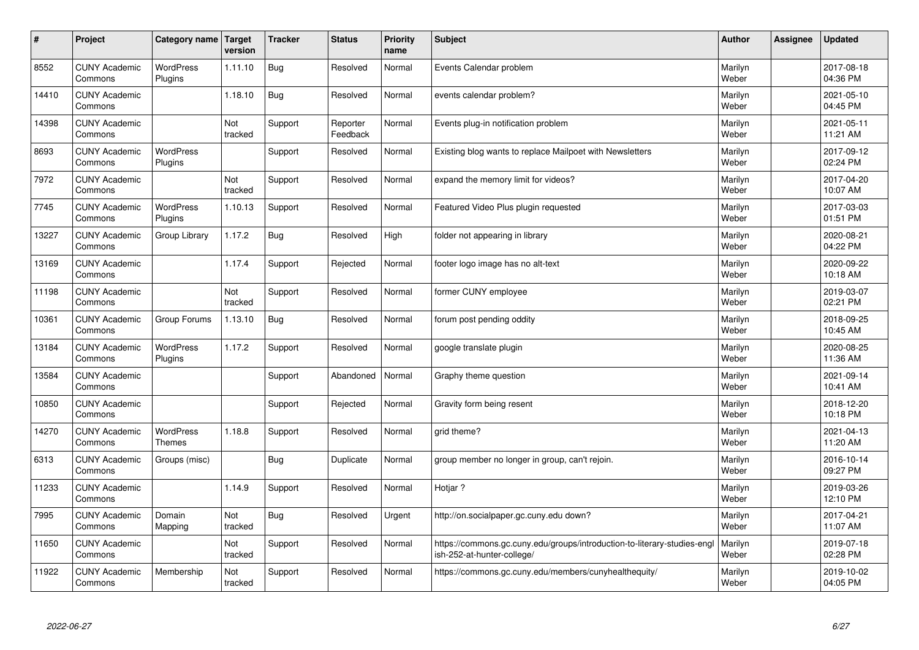| $\sharp$ | Project                         | Category name               | Target<br>version | <b>Tracker</b> | <b>Status</b>        | <b>Priority</b><br>name | <b>Subject</b>                                                                                         | <b>Author</b>    | Assignee | <b>Updated</b>         |
|----------|---------------------------------|-----------------------------|-------------------|----------------|----------------------|-------------------------|--------------------------------------------------------------------------------------------------------|------------------|----------|------------------------|
| 8552     | <b>CUNY Academic</b><br>Commons | <b>WordPress</b><br>Plugins | 1.11.10           | <b>Bug</b>     | Resolved             | Normal                  | Events Calendar problem                                                                                | Marilyn<br>Weber |          | 2017-08-18<br>04:36 PM |
| 14410    | <b>CUNY Academic</b><br>Commons |                             | 1.18.10           | Bug            | Resolved             | Normal                  | events calendar problem?                                                                               | Marilyn<br>Weber |          | 2021-05-10<br>04:45 PM |
| 14398    | <b>CUNY Academic</b><br>Commons |                             | Not<br>tracked    | Support        | Reporter<br>Feedback | Normal                  | Events plug-in notification problem                                                                    | Marilyn<br>Weber |          | 2021-05-11<br>11:21 AM |
| 8693     | <b>CUNY Academic</b><br>Commons | <b>WordPress</b><br>Plugins |                   | Support        | Resolved             | Normal                  | Existing blog wants to replace Mailpoet with Newsletters                                               | Marilyn<br>Weber |          | 2017-09-12<br>02:24 PM |
| 7972     | <b>CUNY Academic</b><br>Commons |                             | Not<br>tracked    | Support        | Resolved             | Normal                  | expand the memory limit for videos?                                                                    | Marilyn<br>Weber |          | 2017-04-20<br>10:07 AM |
| 7745     | <b>CUNY Academic</b><br>Commons | <b>WordPress</b><br>Plugins | 1.10.13           | Support        | Resolved             | Normal                  | Featured Video Plus plugin requested                                                                   | Marilyn<br>Weber |          | 2017-03-03<br>01:51 PM |
| 13227    | <b>CUNY Academic</b><br>Commons | Group Library               | 1.17.2            | Bug            | Resolved             | High                    | folder not appearing in library                                                                        | Marilyn<br>Weber |          | 2020-08-21<br>04:22 PM |
| 13169    | <b>CUNY Academic</b><br>Commons |                             | 1.17.4            | Support        | Rejected             | Normal                  | footer logo image has no alt-text                                                                      | Marilyn<br>Weber |          | 2020-09-22<br>10:18 AM |
| 11198    | <b>CUNY Academic</b><br>Commons |                             | Not<br>tracked    | Support        | Resolved             | Normal                  | former CUNY employee                                                                                   | Marilyn<br>Weber |          | 2019-03-07<br>02:21 PM |
| 10361    | <b>CUNY Academic</b><br>Commons | Group Forums                | 1.13.10           | Bug            | Resolved             | Normal                  | forum post pending oddity                                                                              | Marilyn<br>Weber |          | 2018-09-25<br>10:45 AM |
| 13184    | <b>CUNY Academic</b><br>Commons | <b>WordPress</b><br>Plugins | 1.17.2            | Support        | Resolved             | Normal                  | google translate plugin                                                                                | Marilyn<br>Weber |          | 2020-08-25<br>11:36 AM |
| 13584    | <b>CUNY Academic</b><br>Commons |                             |                   | Support        | Abandoned            | Normal                  | Graphy theme question                                                                                  | Marilyn<br>Weber |          | 2021-09-14<br>10:41 AM |
| 10850    | <b>CUNY Academic</b><br>Commons |                             |                   | Support        | Rejected             | Normal                  | Gravity form being resent                                                                              | Marilyn<br>Weber |          | 2018-12-20<br>10:18 PM |
| 14270    | <b>CUNY Academic</b><br>Commons | <b>WordPress</b><br>Themes  | 1.18.8            | Support        | Resolved             | Normal                  | grid theme?                                                                                            | Marilyn<br>Weber |          | 2021-04-13<br>11:20 AM |
| 6313     | <b>CUNY Academic</b><br>Commons | Groups (misc)               |                   | <b>Bug</b>     | Duplicate            | Normal                  | group member no longer in group, can't rejoin.                                                         | Marilyn<br>Weber |          | 2016-10-14<br>09:27 PM |
| 11233    | <b>CUNY Academic</b><br>Commons |                             | 1.14.9            | Support        | Resolved             | Normal                  | Hotjar?                                                                                                | Marilyn<br>Weber |          | 2019-03-26<br>12:10 PM |
| 7995     | <b>CUNY Academic</b><br>Commons | Domain<br>Mapping           | Not<br>tracked    | Bug            | Resolved             | Urgent                  | http://on.socialpaper.gc.cuny.edu down?                                                                | Marilyn<br>Weber |          | 2017-04-21<br>11:07 AM |
| 11650    | <b>CUNY Academic</b><br>Commons |                             | Not<br>tracked    | Support        | Resolved             | Normal                  | https://commons.gc.cuny.edu/groups/introduction-to-literary-studies-engl<br>ish-252-at-hunter-college/ | Marilyn<br>Weber |          | 2019-07-18<br>02:28 PM |
| 11922    | <b>CUNY Academic</b><br>Commons | Membership                  | Not<br>tracked    | Support        | Resolved             | Normal                  | https://commons.gc.cuny.edu/members/cunyhealthequity/                                                  | Marilyn<br>Weber |          | 2019-10-02<br>04:05 PM |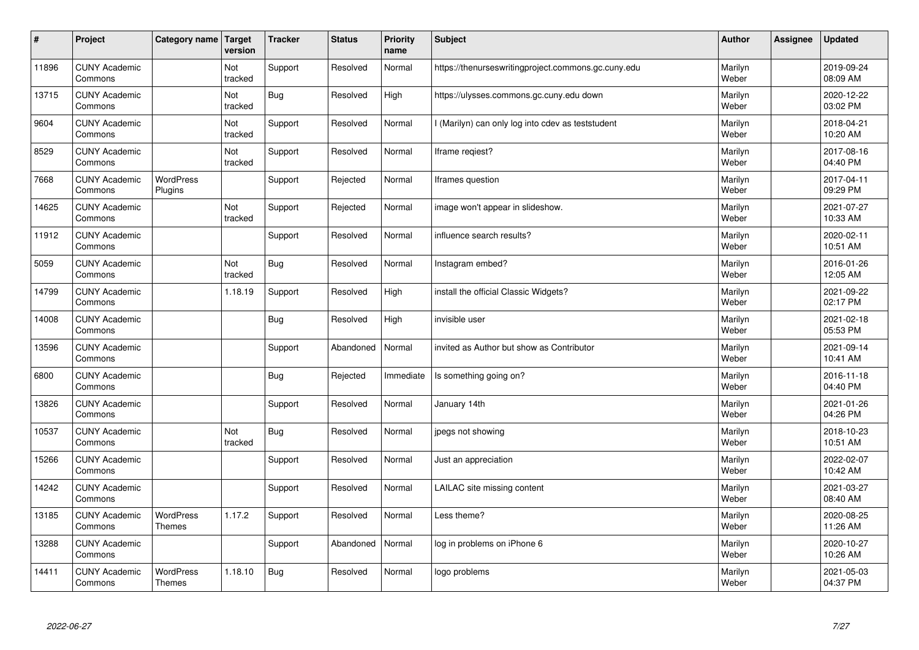| $\sharp$ | Project                         | Category name                     | Target<br>version | <b>Tracker</b> | <b>Status</b> | <b>Priority</b><br>name | <b>Subject</b>                                      | <b>Author</b>    | Assignee | <b>Updated</b>         |
|----------|---------------------------------|-----------------------------------|-------------------|----------------|---------------|-------------------------|-----------------------------------------------------|------------------|----------|------------------------|
| 11896    | <b>CUNY Academic</b><br>Commons |                                   | Not<br>tracked    | Support        | Resolved      | Normal                  | https://thenurseswritingproject.commons.gc.cuny.edu | Marilyn<br>Weber |          | 2019-09-24<br>08:09 AM |
| 13715    | <b>CUNY Academic</b><br>Commons |                                   | Not<br>tracked    | Bug            | Resolved      | High                    | https://ulysses.commons.gc.cuny.edu down            | Marilyn<br>Weber |          | 2020-12-22<br>03:02 PM |
| 9604     | <b>CUNY Academic</b><br>Commons |                                   | Not<br>tracked    | Support        | Resolved      | Normal                  | I (Marilyn) can only log into cdev as teststudent   | Marilyn<br>Weber |          | 2018-04-21<br>10:20 AM |
| 8529     | <b>CUNY Academic</b><br>Commons |                                   | Not<br>tracked    | Support        | Resolved      | Normal                  | Iframe regiest?                                     | Marilyn<br>Weber |          | 2017-08-16<br>04:40 PM |
| 7668     | <b>CUNY Academic</b><br>Commons | <b>WordPress</b><br>Plugins       |                   | Support        | Rejected      | Normal                  | Iframes question                                    | Marilyn<br>Weber |          | 2017-04-11<br>09:29 PM |
| 14625    | <b>CUNY Academic</b><br>Commons |                                   | Not<br>tracked    | Support        | Rejected      | Normal                  | image won't appear in slideshow.                    | Marilyn<br>Weber |          | 2021-07-27<br>10:33 AM |
| 11912    | <b>CUNY Academic</b><br>Commons |                                   |                   | Support        | Resolved      | Normal                  | influence search results?                           | Marilyn<br>Weber |          | 2020-02-11<br>10:51 AM |
| 5059     | <b>CUNY Academic</b><br>Commons |                                   | Not<br>tracked    | Bug            | Resolved      | Normal                  | Instagram embed?                                    | Marilyn<br>Weber |          | 2016-01-26<br>12:05 AM |
| 14799    | <b>CUNY Academic</b><br>Commons |                                   | 1.18.19           | Support        | Resolved      | High                    | install the official Classic Widgets?               | Marilyn<br>Weber |          | 2021-09-22<br>02:17 PM |
| 14008    | <b>CUNY Academic</b><br>Commons |                                   |                   | <b>Bug</b>     | Resolved      | High                    | invisible user                                      | Marilyn<br>Weber |          | 2021-02-18<br>05:53 PM |
| 13596    | <b>CUNY Academic</b><br>Commons |                                   |                   | Support        | Abandoned     | Normal                  | invited as Author but show as Contributor           | Marilyn<br>Weber |          | 2021-09-14<br>10:41 AM |
| 6800     | <b>CUNY Academic</b><br>Commons |                                   |                   | <b>Bug</b>     | Rejected      | Immediate               | Is something going on?                              | Marilyn<br>Weber |          | 2016-11-18<br>04:40 PM |
| 13826    | <b>CUNY Academic</b><br>Commons |                                   |                   | Support        | Resolved      | Normal                  | January 14th                                        | Marilyn<br>Weber |          | 2021-01-26<br>04:26 PM |
| 10537    | <b>CUNY Academic</b><br>Commons |                                   | Not<br>tracked    | Bug            | Resolved      | Normal                  | jpegs not showing                                   | Marilyn<br>Weber |          | 2018-10-23<br>10:51 AM |
| 15266    | <b>CUNY Academic</b><br>Commons |                                   |                   | Support        | Resolved      | Normal                  | Just an appreciation                                | Marilyn<br>Weber |          | 2022-02-07<br>10:42 AM |
| 14242    | <b>CUNY Academic</b><br>Commons |                                   |                   | Support        | Resolved      | Normal                  | LAILAC site missing content                         | Marilyn<br>Weber |          | 2021-03-27<br>08:40 AM |
| 13185    | <b>CUNY Academic</b><br>Commons | WordPress<br>Themes               | 1.17.2            | Support        | Resolved      | Normal                  | Less theme?                                         | Marilyn<br>Weber |          | 2020-08-25<br>11:26 AM |
| 13288    | <b>CUNY Academic</b><br>Commons |                                   |                   | Support        | Abandoned     | Normal                  | log in problems on iPhone 6                         | Marilyn<br>Weber |          | 2020-10-27<br>10:26 AM |
| 14411    | <b>CUNY Academic</b><br>Commons | <b>WordPress</b><br><b>Themes</b> | 1.18.10           | Bug            | Resolved      | Normal                  | logo problems                                       | Marilyn<br>Weber |          | 2021-05-03<br>04:37 PM |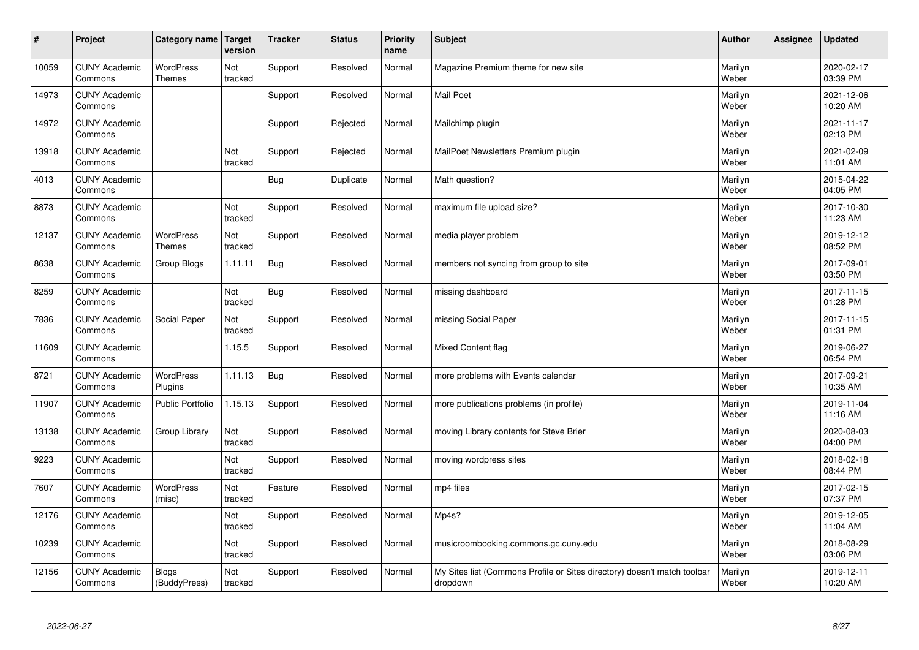| $\pmb{\#}$ | Project                         | Category name                     | Target<br>version | <b>Tracker</b> | <b>Status</b> | <b>Priority</b><br>name | <b>Subject</b>                                                                       | <b>Author</b>    | <b>Assignee</b> | <b>Updated</b>         |
|------------|---------------------------------|-----------------------------------|-------------------|----------------|---------------|-------------------------|--------------------------------------------------------------------------------------|------------------|-----------------|------------------------|
| 10059      | <b>CUNY Academic</b><br>Commons | <b>WordPress</b><br><b>Themes</b> | Not<br>tracked    | Support        | Resolved      | Normal                  | Magazine Premium theme for new site                                                  | Marilyn<br>Weber |                 | 2020-02-17<br>03:39 PM |
| 14973      | <b>CUNY Academic</b><br>Commons |                                   |                   | Support        | Resolved      | Normal                  | Mail Poet                                                                            | Marilyn<br>Weber |                 | 2021-12-06<br>10:20 AM |
| 14972      | <b>CUNY Academic</b><br>Commons |                                   |                   | Support        | Rejected      | Normal                  | Mailchimp plugin                                                                     | Marilyn<br>Weber |                 | 2021-11-17<br>02:13 PM |
| 13918      | <b>CUNY Academic</b><br>Commons |                                   | Not<br>tracked    | Support        | Rejected      | Normal                  | MailPoet Newsletters Premium plugin                                                  | Marilyn<br>Weber |                 | 2021-02-09<br>11:01 AM |
| 4013       | <b>CUNY Academic</b><br>Commons |                                   |                   | <b>Bug</b>     | Duplicate     | Normal                  | Math question?                                                                       | Marilyn<br>Weber |                 | 2015-04-22<br>04:05 PM |
| 8873       | <b>CUNY Academic</b><br>Commons |                                   | Not<br>tracked    | Support        | Resolved      | Normal                  | maximum file upload size?                                                            | Marilyn<br>Weber |                 | 2017-10-30<br>11:23 AM |
| 12137      | <b>CUNY Academic</b><br>Commons | <b>WordPress</b><br><b>Themes</b> | Not<br>tracked    | Support        | Resolved      | Normal                  | media player problem                                                                 | Marilyn<br>Weber |                 | 2019-12-12<br>08:52 PM |
| 8638       | <b>CUNY Academic</b><br>Commons | Group Blogs                       | 1.11.11           | Bug            | Resolved      | Normal                  | members not syncing from group to site                                               | Marilyn<br>Weber |                 | 2017-09-01<br>03:50 PM |
| 8259       | <b>CUNY Academic</b><br>Commons |                                   | Not<br>tracked    | Bug            | Resolved      | Normal                  | missing dashboard                                                                    | Marilyn<br>Weber |                 | 2017-11-15<br>01:28 PM |
| 7836       | <b>CUNY Academic</b><br>Commons | <b>Social Paper</b>               | Not<br>tracked    | Support        | Resolved      | Normal                  | missing Social Paper                                                                 | Marilyn<br>Weber |                 | 2017-11-15<br>01:31 PM |
| 11609      | <b>CUNY Academic</b><br>Commons |                                   | 1.15.5            | Support        | Resolved      | Normal                  | Mixed Content flag                                                                   | Marilyn<br>Weber |                 | 2019-06-27<br>06:54 PM |
| 8721       | <b>CUNY Academic</b><br>Commons | <b>WordPress</b><br>Plugins       | 1.11.13           | <b>Bug</b>     | Resolved      | Normal                  | more problems with Events calendar                                                   | Marilyn<br>Weber |                 | 2017-09-21<br>10:35 AM |
| 11907      | <b>CUNY Academic</b><br>Commons | Public Portfolio                  | 1.15.13           | Support        | Resolved      | Normal                  | more publications problems (in profile)                                              | Marilyn<br>Weber |                 | 2019-11-04<br>11:16 AM |
| 13138      | <b>CUNY Academic</b><br>Commons | Group Library                     | Not<br>tracked    | Support        | Resolved      | Normal                  | moving Library contents for Steve Brier                                              | Marilyn<br>Weber |                 | 2020-08-03<br>04:00 PM |
| 9223       | <b>CUNY Academic</b><br>Commons |                                   | Not<br>tracked    | Support        | Resolved      | Normal                  | moving wordpress sites                                                               | Marilyn<br>Weber |                 | 2018-02-18<br>08:44 PM |
| 7607       | <b>CUNY Academic</b><br>Commons | <b>WordPress</b><br>(misc)        | Not<br>tracked    | Feature        | Resolved      | Normal                  | mp4 files                                                                            | Marilyn<br>Weber |                 | 2017-02-15<br>07:37 PM |
| 12176      | <b>CUNY Academic</b><br>Commons |                                   | Not<br>tracked    | Support        | Resolved      | Normal                  | Mp4s?                                                                                | Marilyn<br>Weber |                 | 2019-12-05<br>11:04 AM |
| 10239      | <b>CUNY Academic</b><br>Commons |                                   | Not<br>tracked    | Support        | Resolved      | Normal                  | musicroombooking.commons.gc.cuny.edu                                                 | Marilyn<br>Weber |                 | 2018-08-29<br>03:06 PM |
| 12156      | <b>CUNY Academic</b><br>Commons | <b>Blogs</b><br>(BuddyPress)      | Not<br>tracked    | Support        | Resolved      | Normal                  | My Sites list (Commons Profile or Sites directory) doesn't match toolbar<br>dropdown | Marilyn<br>Weber |                 | 2019-12-11<br>10:20 AM |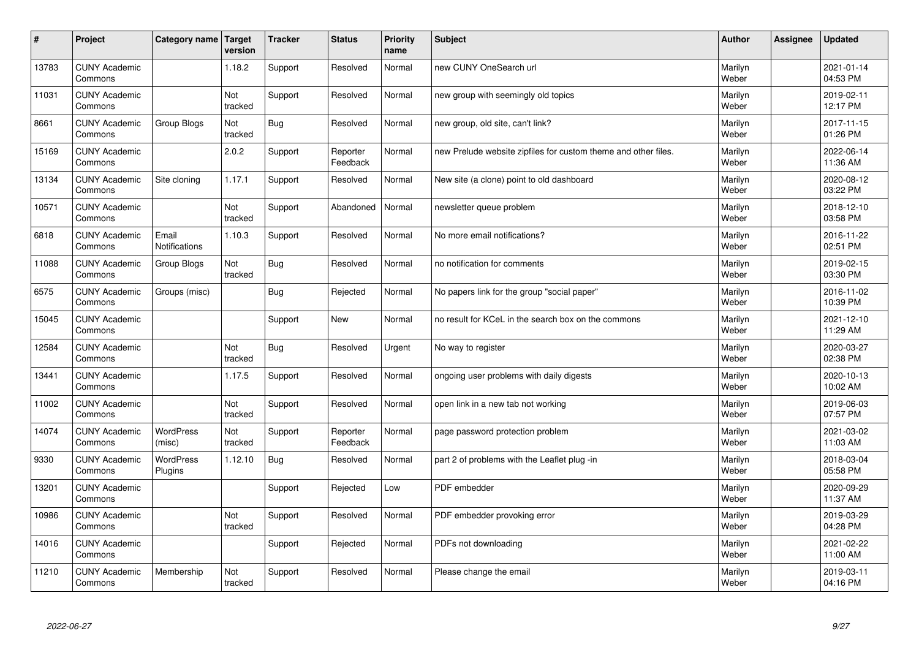| $\sharp$ | Project                         | Category name              | Target<br>version | <b>Tracker</b> | <b>Status</b>        | <b>Priority</b><br>name | <b>Subject</b>                                                 | <b>Author</b>    | Assignee | <b>Updated</b>         |
|----------|---------------------------------|----------------------------|-------------------|----------------|----------------------|-------------------------|----------------------------------------------------------------|------------------|----------|------------------------|
| 13783    | <b>CUNY Academic</b><br>Commons |                            | 1.18.2            | Support        | Resolved             | Normal                  | new CUNY OneSearch url                                         | Marilyn<br>Weber |          | 2021-01-14<br>04:53 PM |
| 11031    | <b>CUNY Academic</b><br>Commons |                            | Not<br>tracked    | Support        | Resolved             | Normal                  | new group with seemingly old topics                            | Marilyn<br>Weber |          | 2019-02-11<br>12:17 PM |
| 8661     | <b>CUNY Academic</b><br>Commons | Group Blogs                | Not<br>tracked    | <b>Bug</b>     | Resolved             | Normal                  | new group, old site, can't link?                               | Marilyn<br>Weber |          | 2017-11-15<br>01:26 PM |
| 15169    | <b>CUNY Academic</b><br>Commons |                            | 2.0.2             | Support        | Reporter<br>Feedback | Normal                  | new Prelude website zipfiles for custom theme and other files. | Marilyn<br>Weber |          | 2022-06-14<br>11:36 AM |
| 13134    | <b>CUNY Academic</b><br>Commons | Site cloning               | 1.17.1            | Support        | Resolved             | Normal                  | New site (a clone) point to old dashboard                      | Marilyn<br>Weber |          | 2020-08-12<br>03:22 PM |
| 10571    | <b>CUNY Academic</b><br>Commons |                            | Not<br>tracked    | Support        | Abandoned            | Normal                  | newsletter queue problem                                       | Marilyn<br>Weber |          | 2018-12-10<br>03:58 PM |
| 6818     | <b>CUNY Academic</b><br>Commons | Email<br>Notifications     | 1.10.3            | Support        | Resolved             | Normal                  | No more email notifications?                                   | Marilyn<br>Weber |          | 2016-11-22<br>02:51 PM |
| 11088    | <b>CUNY Academic</b><br>Commons | Group Blogs                | Not<br>tracked    | Bug            | Resolved             | Normal                  | no notification for comments                                   | Marilyn<br>Weber |          | 2019-02-15<br>03:30 PM |
| 6575     | <b>CUNY Academic</b><br>Commons | Groups (misc)              |                   | <b>Bug</b>     | Rejected             | Normal                  | No papers link for the group "social paper"                    | Marilyn<br>Weber |          | 2016-11-02<br>10:39 PM |
| 15045    | <b>CUNY Academic</b><br>Commons |                            |                   | Support        | New                  | Normal                  | no result for KCeL in the search box on the commons            | Marilyn<br>Weber |          | 2021-12-10<br>11:29 AM |
| 12584    | <b>CUNY Academic</b><br>Commons |                            | Not<br>tracked    | <b>Bug</b>     | Resolved             | Urgent                  | No way to register                                             | Marilyn<br>Weber |          | 2020-03-27<br>02:38 PM |
| 13441    | <b>CUNY Academic</b><br>Commons |                            | 1.17.5            | Support        | Resolved             | Normal                  | ongoing user problems with daily digests                       | Marilyn<br>Weber |          | 2020-10-13<br>10:02 AM |
| 11002    | <b>CUNY Academic</b><br>Commons |                            | Not<br>tracked    | Support        | Resolved             | Normal                  | open link in a new tab not working                             | Marilyn<br>Weber |          | 2019-06-03<br>07:57 PM |
| 14074    | <b>CUNY Academic</b><br>Commons | <b>WordPress</b><br>(misc) | Not<br>tracked    | Support        | Reporter<br>Feedback | Normal                  | page password protection problem                               | Marilyn<br>Weber |          | 2021-03-02<br>11:03 AM |
| 9330     | <b>CUNY Academic</b><br>Commons | WordPress<br>Plugins       | 1.12.10           | <b>Bug</b>     | Resolved             | Normal                  | part 2 of problems with the Leaflet plug -in                   | Marilyn<br>Weber |          | 2018-03-04<br>05:58 PM |
| 13201    | <b>CUNY Academic</b><br>Commons |                            |                   | Support        | Rejected             | Low                     | PDF embedder                                                   | Marilyn<br>Weber |          | 2020-09-29<br>11:37 AM |
| 10986    | <b>CUNY Academic</b><br>Commons |                            | Not<br>tracked    | Support        | Resolved             | Normal                  | PDF embedder provoking error                                   | Marilyn<br>Weber |          | 2019-03-29<br>04:28 PM |
| 14016    | <b>CUNY Academic</b><br>Commons |                            |                   | Support        | Rejected             | Normal                  | PDFs not downloading                                           | Marilyn<br>Weber |          | 2021-02-22<br>11:00 AM |
| 11210    | <b>CUNY Academic</b><br>Commons | Membership                 | Not<br>tracked    | Support        | Resolved             | Normal                  | Please change the email                                        | Marilyn<br>Weber |          | 2019-03-11<br>04:16 PM |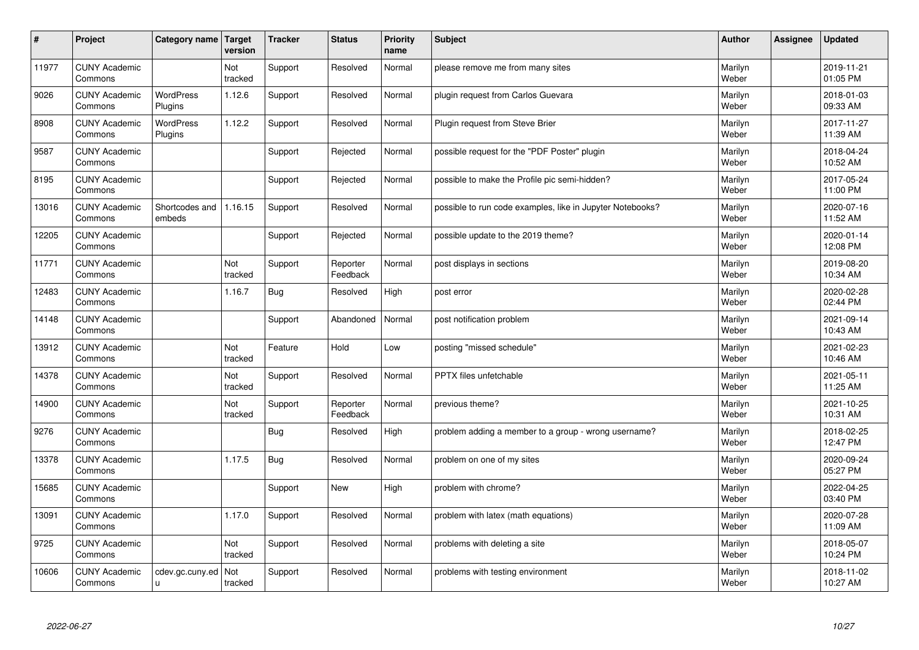| #     | Project                         | Category name   Target      | version        | <b>Tracker</b> | <b>Status</b>        | <b>Priority</b><br>name | <b>Subject</b>                                            | <b>Author</b>    | Assignee | <b>Updated</b>         |
|-------|---------------------------------|-----------------------------|----------------|----------------|----------------------|-------------------------|-----------------------------------------------------------|------------------|----------|------------------------|
| 11977 | <b>CUNY Academic</b><br>Commons |                             | Not<br>tracked | Support        | Resolved             | Normal                  | please remove me from many sites                          | Marilyn<br>Weber |          | 2019-11-21<br>01:05 PM |
| 9026  | <b>CUNY Academic</b><br>Commons | <b>WordPress</b><br>Plugins | 1.12.6         | Support        | Resolved             | Normal                  | plugin request from Carlos Guevara                        | Marilyn<br>Weber |          | 2018-01-03<br>09:33 AM |
| 8908  | <b>CUNY Academic</b><br>Commons | <b>WordPress</b><br>Plugins | 1.12.2         | Support        | Resolved             | Normal                  | Plugin request from Steve Brier                           | Marilyn<br>Weber |          | 2017-11-27<br>11:39 AM |
| 9587  | <b>CUNY Academic</b><br>Commons |                             |                | Support        | Rejected             | Normal                  | possible request for the "PDF Poster" plugin              | Marilyn<br>Weber |          | 2018-04-24<br>10:52 AM |
| 8195  | <b>CUNY Academic</b><br>Commons |                             |                | Support        | Rejected             | Normal                  | possible to make the Profile pic semi-hidden?             | Marilyn<br>Weber |          | 2017-05-24<br>11:00 PM |
| 13016 | <b>CUNY Academic</b><br>Commons | Shortcodes and<br>embeds    | 1.16.15        | Support        | Resolved             | Normal                  | possible to run code examples, like in Jupyter Notebooks? | Marilyn<br>Weber |          | 2020-07-16<br>11:52 AM |
| 12205 | <b>CUNY Academic</b><br>Commons |                             |                | Support        | Rejected             | Normal                  | possible update to the 2019 theme?                        | Marilyn<br>Weber |          | 2020-01-14<br>12:08 PM |
| 11771 | <b>CUNY Academic</b><br>Commons |                             | Not<br>tracked | Support        | Reporter<br>Feedback | Normal                  | post displays in sections                                 | Marilyn<br>Weber |          | 2019-08-20<br>10:34 AM |
| 12483 | <b>CUNY Academic</b><br>Commons |                             | 1.16.7         | <b>Bug</b>     | Resolved             | High                    | post error                                                | Marilyn<br>Weber |          | 2020-02-28<br>02:44 PM |
| 14148 | <b>CUNY Academic</b><br>Commons |                             |                | Support        | Abandoned            | Normal                  | post notification problem                                 | Marilyn<br>Weber |          | 2021-09-14<br>10:43 AM |
| 13912 | <b>CUNY Academic</b><br>Commons |                             | Not<br>tracked | Feature        | Hold                 | Low                     | posting "missed schedule"                                 | Marilyn<br>Weber |          | 2021-02-23<br>10:46 AM |
| 14378 | <b>CUNY Academic</b><br>Commons |                             | Not<br>tracked | Support        | Resolved             | Normal                  | PPTX files unfetchable                                    | Marilyn<br>Weber |          | 2021-05-11<br>11:25 AM |
| 14900 | <b>CUNY Academic</b><br>Commons |                             | Not<br>tracked | Support        | Reporter<br>Feedback | Normal                  | previous theme?                                           | Marilyn<br>Weber |          | 2021-10-25<br>10:31 AM |
| 9276  | <b>CUNY Academic</b><br>Commons |                             |                | <b>Bug</b>     | Resolved             | High                    | problem adding a member to a group - wrong username?      | Marilyn<br>Weber |          | 2018-02-25<br>12:47 PM |
| 13378 | <b>CUNY Academic</b><br>Commons |                             | 1.17.5         | <b>Bug</b>     | Resolved             | Normal                  | problem on one of my sites                                | Marilyn<br>Weber |          | 2020-09-24<br>05:27 PM |
| 15685 | <b>CUNY Academic</b><br>Commons |                             |                | Support        | <b>New</b>           | High                    | problem with chrome?                                      | Marilyn<br>Weber |          | 2022-04-25<br>03:40 PM |
| 13091 | <b>CUNY Academic</b><br>Commons |                             | 1.17.0         | Support        | Resolved             | Normal                  | problem with latex (math equations)                       | Marilyn<br>Weber |          | 2020-07-28<br>11:09 AM |
| 9725  | <b>CUNY Academic</b><br>Commons |                             | Not<br>tracked | Support        | Resolved             | Normal                  | problems with deleting a site                             | Marilyn<br>Weber |          | 2018-05-07<br>10:24 PM |
| 10606 | <b>CUNY Academic</b><br>Commons | cdev.gc.cuny.ed<br>ū        | Not<br>tracked | Support        | Resolved             | Normal                  | problems with testing environment                         | Marilyn<br>Weber |          | 2018-11-02<br>10:27 AM |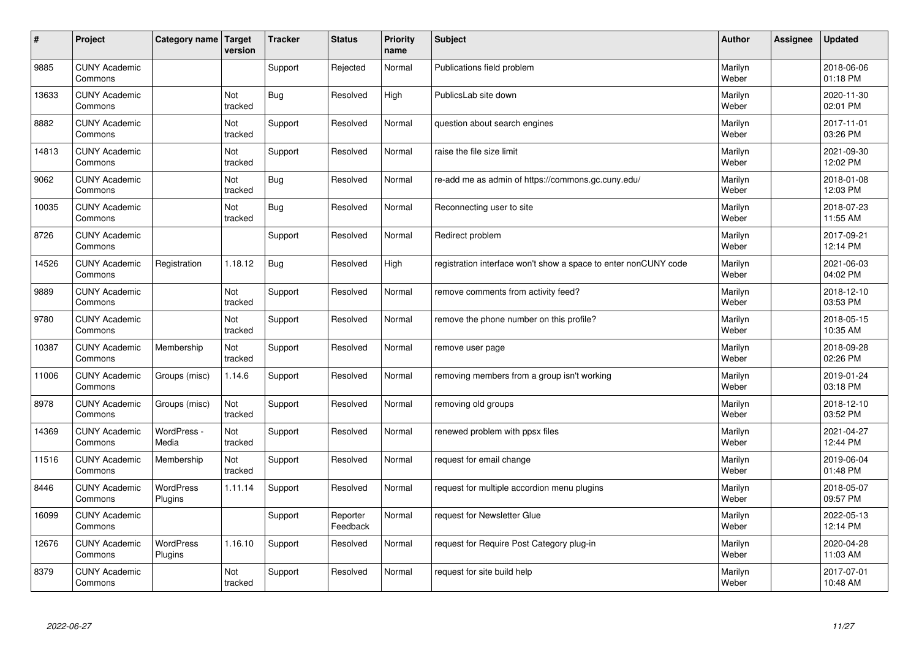| #     | Project                         | Category name        | Target<br>version | <b>Tracker</b> | <b>Status</b>        | <b>Priority</b><br>name | <b>Subject</b>                                                  | <b>Author</b>    | Assignee | <b>Updated</b>         |
|-------|---------------------------------|----------------------|-------------------|----------------|----------------------|-------------------------|-----------------------------------------------------------------|------------------|----------|------------------------|
| 9885  | <b>CUNY Academic</b><br>Commons |                      |                   | Support        | Rejected             | Normal                  | Publications field problem                                      | Marilyn<br>Weber |          | 2018-06-06<br>01:18 PM |
| 13633 | <b>CUNY Academic</b><br>Commons |                      | Not<br>tracked    | Bug            | Resolved             | High                    | PublicsLab site down                                            | Marilyn<br>Weber |          | 2020-11-30<br>02:01 PM |
| 8882  | <b>CUNY Academic</b><br>Commons |                      | Not<br>tracked    | Support        | Resolved             | Normal                  | question about search engines                                   | Marilyn<br>Weber |          | 2017-11-01<br>03:26 PM |
| 14813 | <b>CUNY Academic</b><br>Commons |                      | Not<br>tracked    | Support        | Resolved             | Normal                  | raise the file size limit                                       | Marilyn<br>Weber |          | 2021-09-30<br>12:02 PM |
| 9062  | <b>CUNY Academic</b><br>Commons |                      | Not<br>tracked    | Bug            | Resolved             | Normal                  | re-add me as admin of https://commons.gc.cuny.edu/              | Marilyn<br>Weber |          | 2018-01-08<br>12:03 PM |
| 10035 | <b>CUNY Academic</b><br>Commons |                      | Not<br>tracked    | <b>Bug</b>     | Resolved             | Normal                  | Reconnecting user to site                                       | Marilyn<br>Weber |          | 2018-07-23<br>11:55 AM |
| 8726  | <b>CUNY Academic</b><br>Commons |                      |                   | Support        | Resolved             | Normal                  | Redirect problem                                                | Marilyn<br>Weber |          | 2017-09-21<br>12:14 PM |
| 14526 | <b>CUNY Academic</b><br>Commons | Registration         | 1.18.12           | Bug            | Resolved             | High                    | registration interface won't show a space to enter nonCUNY code | Marilyn<br>Weber |          | 2021-06-03<br>04:02 PM |
| 9889  | <b>CUNY Academic</b><br>Commons |                      | Not<br>tracked    | Support        | Resolved             | Normal                  | remove comments from activity feed?                             | Marilyn<br>Weber |          | 2018-12-10<br>03:53 PM |
| 9780  | <b>CUNY Academic</b><br>Commons |                      | Not<br>tracked    | Support        | Resolved             | Normal                  | remove the phone number on this profile?                        | Marilyn<br>Weber |          | 2018-05-15<br>10:35 AM |
| 10387 | <b>CUNY Academic</b><br>Commons | Membership           | Not<br>tracked    | Support        | Resolved             | Normal                  | remove user page                                                | Marilyn<br>Weber |          | 2018-09-28<br>02:26 PM |
| 11006 | <b>CUNY Academic</b><br>Commons | Groups (misc)        | 1.14.6            | Support        | Resolved             | Normal                  | removing members from a group isn't working                     | Marilyn<br>Weber |          | 2019-01-24<br>03:18 PM |
| 8978  | <b>CUNY Academic</b><br>Commons | Groups (misc)        | Not<br>tracked    | Support        | Resolved             | Normal                  | removing old groups                                             | Marilyn<br>Weber |          | 2018-12-10<br>03:52 PM |
| 14369 | <b>CUNY Academic</b><br>Commons | WordPress -<br>Media | Not<br>tracked    | Support        | Resolved             | Normal                  | renewed problem with ppsx files                                 | Marilyn<br>Weber |          | 2021-04-27<br>12:44 PM |
| 11516 | <b>CUNY Academic</b><br>Commons | Membership           | Not<br>tracked    | Support        | Resolved             | Normal                  | request for email change                                        | Marilyn<br>Weber |          | 2019-06-04<br>01:48 PM |
| 8446  | <b>CUNY Academic</b><br>Commons | WordPress<br>Plugins | 1.11.14           | Support        | Resolved             | Normal                  | request for multiple accordion menu plugins                     | Marilyn<br>Weber |          | 2018-05-07<br>09:57 PM |
| 16099 | <b>CUNY Academic</b><br>Commons |                      |                   | Support        | Reporter<br>Feedback | Normal                  | request for Newsletter Glue                                     | Marilyn<br>Weber |          | 2022-05-13<br>12:14 PM |
| 12676 | <b>CUNY Academic</b><br>Commons | WordPress<br>Plugins | 1.16.10           | Support        | Resolved             | Normal                  | request for Require Post Category plug-in                       | Marilyn<br>Weber |          | 2020-04-28<br>11:03 AM |
| 8379  | <b>CUNY Academic</b><br>Commons |                      | Not<br>tracked    | Support        | Resolved             | Normal                  | request for site build help                                     | Marilyn<br>Weber |          | 2017-07-01<br>10:48 AM |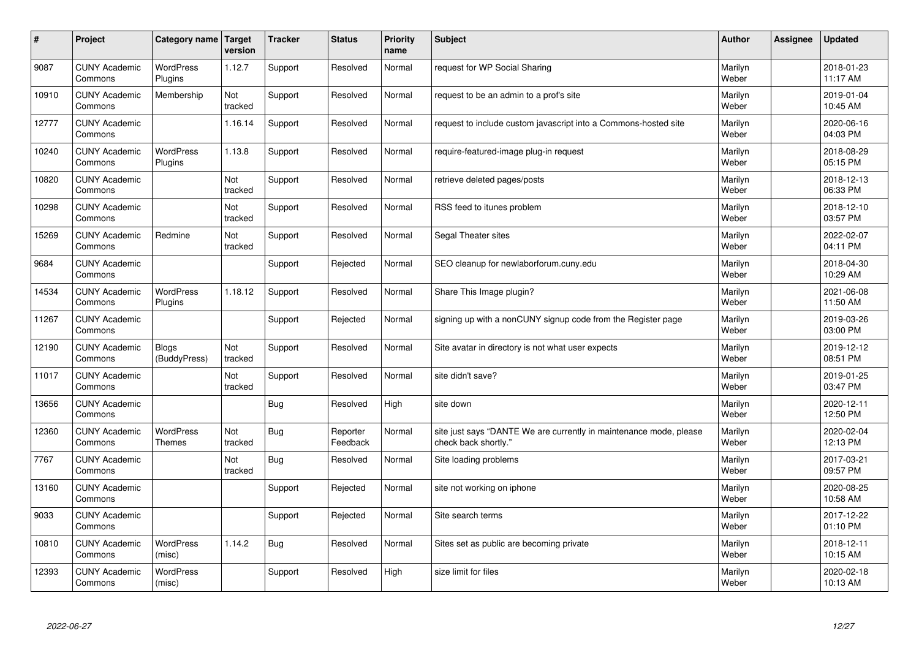| $\vert$ # | Project                         | Category name   Target       | version        | <b>Tracker</b> | <b>Status</b>        | <b>Priority</b><br>name | <b>Subject</b>                                                                             | <b>Author</b>    | Assignee | <b>Updated</b>         |
|-----------|---------------------------------|------------------------------|----------------|----------------|----------------------|-------------------------|--------------------------------------------------------------------------------------------|------------------|----------|------------------------|
| 9087      | <b>CUNY Academic</b><br>Commons | <b>WordPress</b><br>Plugins  | 1.12.7         | Support        | Resolved             | Normal                  | request for WP Social Sharing                                                              | Marilyn<br>Weber |          | 2018-01-23<br>11:17 AM |
| 10910     | <b>CUNY Academic</b><br>Commons | Membership                   | Not<br>tracked | Support        | Resolved             | Normal                  | request to be an admin to a prof's site                                                    | Marilyn<br>Weber |          | 2019-01-04<br>10:45 AM |
| 12777     | <b>CUNY Academic</b><br>Commons |                              | 1.16.14        | Support        | Resolved             | Normal                  | request to include custom javascript into a Commons-hosted site                            | Marilyn<br>Weber |          | 2020-06-16<br>04:03 PM |
| 10240     | <b>CUNY Academic</b><br>Commons | <b>WordPress</b><br>Plugins  | 1.13.8         | Support        | Resolved             | Normal                  | require-featured-image plug-in request                                                     | Marilyn<br>Weber |          | 2018-08-29<br>05:15 PM |
| 10820     | <b>CUNY Academic</b><br>Commons |                              | Not<br>tracked | Support        | Resolved             | Normal                  | retrieve deleted pages/posts                                                               | Marilyn<br>Weber |          | 2018-12-13<br>06:33 PM |
| 10298     | <b>CUNY Academic</b><br>Commons |                              | Not<br>tracked | Support        | Resolved             | Normal                  | RSS feed to itunes problem                                                                 | Marilyn<br>Weber |          | 2018-12-10<br>03:57 PM |
| 15269     | <b>CUNY Academic</b><br>Commons | Redmine                      | Not<br>tracked | Support        | Resolved             | Normal                  | Segal Theater sites                                                                        | Marilyn<br>Weber |          | 2022-02-07<br>04:11 PM |
| 9684      | <b>CUNY Academic</b><br>Commons |                              |                | Support        | Rejected             | Normal                  | SEO cleanup for newlaborforum.cuny.edu                                                     | Marilyn<br>Weber |          | 2018-04-30<br>10:29 AM |
| 14534     | <b>CUNY Academic</b><br>Commons | <b>WordPress</b><br>Plugins  | 1.18.12        | Support        | Resolved             | Normal                  | Share This Image plugin?                                                                   | Marilyn<br>Weber |          | 2021-06-08<br>11:50 AM |
| 11267     | <b>CUNY Academic</b><br>Commons |                              |                | Support        | Rejected             | Normal                  | signing up with a nonCUNY signup code from the Register page                               | Marilyn<br>Weber |          | 2019-03-26<br>03:00 PM |
| 12190     | <b>CUNY Academic</b><br>Commons | <b>Blogs</b><br>(BuddyPress) | Not<br>tracked | Support        | Resolved             | Normal                  | Site avatar in directory is not what user expects                                          | Marilyn<br>Weber |          | 2019-12-12<br>08:51 PM |
| 11017     | <b>CUNY Academic</b><br>Commons |                              | Not<br>tracked | Support        | Resolved             | Normal                  | site didn't save?                                                                          | Marilyn<br>Weber |          | 2019-01-25<br>03:47 PM |
| 13656     | <b>CUNY Academic</b><br>Commons |                              |                | Bug            | Resolved             | High                    | site down                                                                                  | Marilyn<br>Weber |          | 2020-12-11<br>12:50 PM |
| 12360     | <b>CUNY Academic</b><br>Commons | WordPress<br><b>Themes</b>   | Not<br>tracked | <b>Bug</b>     | Reporter<br>Feedback | Normal                  | site just says "DANTE We are currently in maintenance mode, please<br>check back shortly." | Marilyn<br>Weber |          | 2020-02-04<br>12:13 PM |
| 7767      | <b>CUNY Academic</b><br>Commons |                              | Not<br>tracked | Bug            | Resolved             | Normal                  | Site loading problems                                                                      | Marilyn<br>Weber |          | 2017-03-21<br>09:57 PM |
| 13160     | <b>CUNY Academic</b><br>Commons |                              |                | Support        | Rejected             | Normal                  | site not working on iphone                                                                 | Marilyn<br>Weber |          | 2020-08-25<br>10:58 AM |
| 9033      | <b>CUNY Academic</b><br>Commons |                              |                | Support        | Rejected             | Normal                  | Site search terms                                                                          | Marilyn<br>Weber |          | 2017-12-22<br>01:10 PM |
| 10810     | <b>CUNY Academic</b><br>Commons | <b>WordPress</b><br>(misc)   | 1.14.2         | <b>Bug</b>     | Resolved             | Normal                  | Sites set as public are becoming private                                                   | Marilyn<br>Weber |          | 2018-12-11<br>10:15 AM |
| 12393     | <b>CUNY Academic</b><br>Commons | <b>WordPress</b><br>(misc)   |                | Support        | Resolved             | High                    | size limit for files                                                                       | Marilyn<br>Weber |          | 2020-02-18<br>10:13 AM |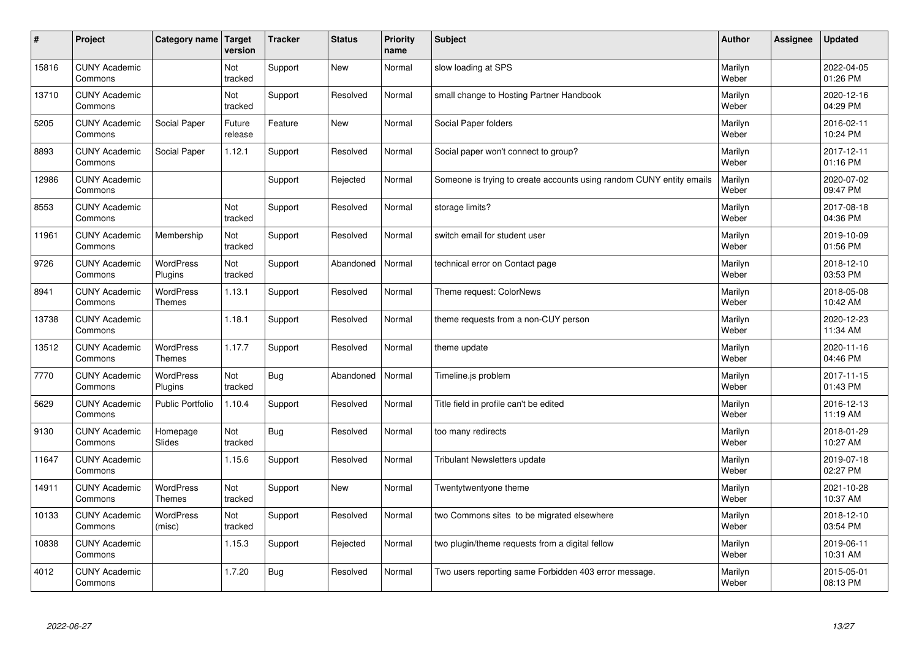| $\sharp$ | Project                         | Category name                     | Target<br>version     | <b>Tracker</b> | <b>Status</b> | <b>Priority</b><br>name | <b>Subject</b>                                                       | <b>Author</b>    | <b>Assignee</b> | <b>Updated</b>         |
|----------|---------------------------------|-----------------------------------|-----------------------|----------------|---------------|-------------------------|----------------------------------------------------------------------|------------------|-----------------|------------------------|
| 15816    | <b>CUNY Academic</b><br>Commons |                                   | Not<br>tracked        | Support        | <b>New</b>    | Normal                  | slow loading at SPS                                                  | Marilyn<br>Weber |                 | 2022-04-05<br>01:26 PM |
| 13710    | <b>CUNY Academic</b><br>Commons |                                   | Not<br>tracked        | Support        | Resolved      | Normal                  | small change to Hosting Partner Handbook                             | Marilyn<br>Weber |                 | 2020-12-16<br>04:29 PM |
| 5205     | <b>CUNY Academic</b><br>Commons | Social Paper                      | Future<br>release     | Feature        | <b>New</b>    | Normal                  | Social Paper folders                                                 | Marilyn<br>Weber |                 | 2016-02-11<br>10:24 PM |
| 8893     | <b>CUNY Academic</b><br>Commons | Social Paper                      | 1.12.1                | Support        | Resolved      | Normal                  | Social paper won't connect to group?                                 | Marilyn<br>Weber |                 | 2017-12-11<br>01:16 PM |
| 12986    | <b>CUNY Academic</b><br>Commons |                                   |                       | Support        | Rejected      | Normal                  | Someone is trying to create accounts using random CUNY entity emails | Marilyn<br>Weber |                 | 2020-07-02<br>09:47 PM |
| 8553     | <b>CUNY Academic</b><br>Commons |                                   | <b>Not</b><br>tracked | Support        | Resolved      | Normal                  | storage limits?                                                      | Marilyn<br>Weber |                 | 2017-08-18<br>04:36 PM |
| 11961    | <b>CUNY Academic</b><br>Commons | Membership                        | Not<br>tracked        | Support        | Resolved      | Normal                  | switch email for student user                                        | Marilyn<br>Weber |                 | 2019-10-09<br>01:56 PM |
| 9726     | <b>CUNY Academic</b><br>Commons | <b>WordPress</b><br>Plugins       | Not<br>tracked        | Support        | Abandoned     | Normal                  | technical error on Contact page                                      | Marilyn<br>Weber |                 | 2018-12-10<br>03:53 PM |
| 8941     | <b>CUNY Academic</b><br>Commons | WordPress<br>Themes               | 1.13.1                | Support        | Resolved      | Normal                  | Theme request: ColorNews                                             | Marilyn<br>Weber |                 | 2018-05-08<br>10:42 AM |
| 13738    | <b>CUNY Academic</b><br>Commons |                                   | 1.18.1                | Support        | Resolved      | Normal                  | theme requests from a non-CUY person                                 | Marilyn<br>Weber |                 | 2020-12-23<br>11:34 AM |
| 13512    | <b>CUNY Academic</b><br>Commons | <b>WordPress</b><br><b>Themes</b> | 1.17.7                | Support        | Resolved      | Normal                  | theme update                                                         | Marilyn<br>Weber |                 | 2020-11-16<br>04:46 PM |
| 7770     | <b>CUNY Academic</b><br>Commons | <b>WordPress</b><br>Plugins       | Not<br>tracked        | <b>Bug</b>     | Abandoned     | Normal                  | Timeline.js problem                                                  | Marilyn<br>Weber |                 | 2017-11-15<br>01:43 PM |
| 5629     | <b>CUNY Academic</b><br>Commons | <b>Public Portfolio</b>           | 1.10.4                | Support        | Resolved      | Normal                  | Title field in profile can't be edited                               | Marilyn<br>Weber |                 | 2016-12-13<br>11:19 AM |
| 9130     | <b>CUNY Academic</b><br>Commons | Homepage<br>Slides                | Not<br>tracked        | <b>Bug</b>     | Resolved      | Normal                  | too many redirects                                                   | Marilyn<br>Weber |                 | 2018-01-29<br>10:27 AM |
| 11647    | <b>CUNY Academic</b><br>Commons |                                   | 1.15.6                | Support        | Resolved      | Normal                  | Tribulant Newsletters update                                         | Marilyn<br>Weber |                 | 2019-07-18<br>02:27 PM |
| 14911    | <b>CUNY Academic</b><br>Commons | <b>WordPress</b><br><b>Themes</b> | Not<br>tracked        | Support        | New           | Normal                  | Twentytwentyone theme                                                | Marilyn<br>Weber |                 | 2021-10-28<br>10:37 AM |
| 10133    | <b>CUNY Academic</b><br>Commons | WordPress<br>(misc)               | Not<br>tracked        | Support        | Resolved      | Normal                  | two Commons sites to be migrated elsewhere                           | Marilyn<br>Weber |                 | 2018-12-10<br>03:54 PM |
| 10838    | <b>CUNY Academic</b><br>Commons |                                   | 1.15.3                | Support        | Rejected      | Normal                  | two plugin/theme requests from a digital fellow                      | Marilyn<br>Weber |                 | 2019-06-11<br>10:31 AM |
| 4012     | <b>CUNY Academic</b><br>Commons |                                   | 1.7.20                | Bug            | Resolved      | Normal                  | Two users reporting same Forbidden 403 error message.                | Marilyn<br>Weber |                 | 2015-05-01<br>08:13 PM |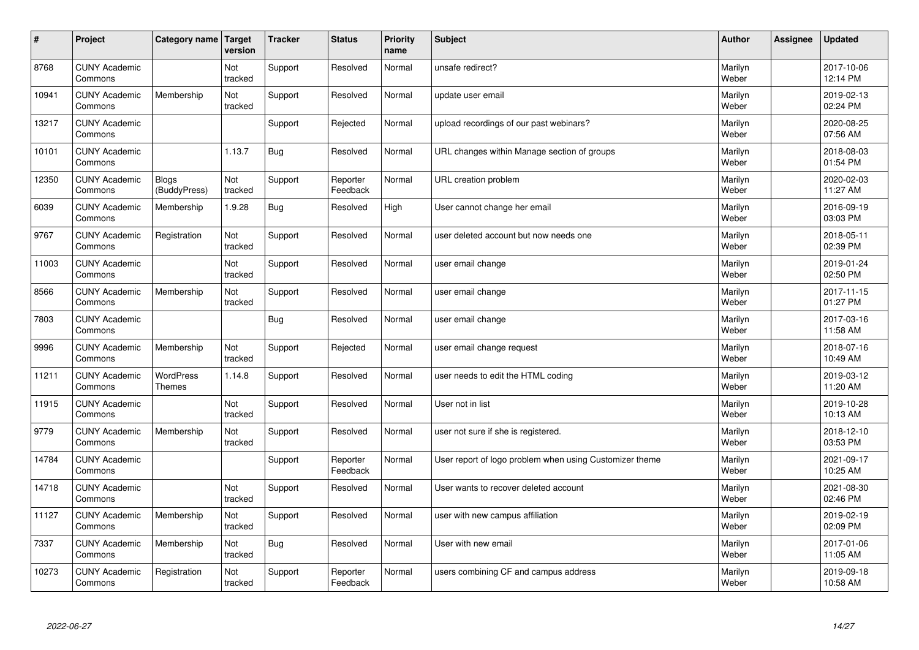| $\vert$ # | Project                         | Category name                     | Target<br>version | <b>Tracker</b> | <b>Status</b>        | <b>Priority</b><br>name | <b>Subject</b>                                          | <b>Author</b>    | <b>Assignee</b> | <b>Updated</b>         |
|-----------|---------------------------------|-----------------------------------|-------------------|----------------|----------------------|-------------------------|---------------------------------------------------------|------------------|-----------------|------------------------|
| 8768      | <b>CUNY Academic</b><br>Commons |                                   | Not<br>tracked    | Support        | Resolved             | Normal                  | unsafe redirect?                                        | Marilyn<br>Weber |                 | 2017-10-06<br>12:14 PM |
| 10941     | <b>CUNY Academic</b><br>Commons | Membership                        | Not<br>tracked    | Support        | Resolved             | Normal                  | update user email                                       | Marilyn<br>Weber |                 | 2019-02-13<br>02:24 PM |
| 13217     | <b>CUNY Academic</b><br>Commons |                                   |                   | Support        | Rejected             | Normal                  | upload recordings of our past webinars?                 | Marilyn<br>Weber |                 | 2020-08-25<br>07:56 AM |
| 10101     | <b>CUNY Academic</b><br>Commons |                                   | 1.13.7            | <b>Bug</b>     | Resolved             | Normal                  | URL changes within Manage section of groups             | Marilyn<br>Weber |                 | 2018-08-03<br>01:54 PM |
| 12350     | <b>CUNY Academic</b><br>Commons | <b>Blogs</b><br>(BuddyPress)      | Not<br>tracked    | Support        | Reporter<br>Feedback | Normal                  | URL creation problem                                    | Marilyn<br>Weber |                 | 2020-02-03<br>11:27 AM |
| 6039      | <b>CUNY Academic</b><br>Commons | Membership                        | 1.9.28            | <b>Bug</b>     | Resolved             | High                    | User cannot change her email                            | Marilyn<br>Weber |                 | 2016-09-19<br>03:03 PM |
| 9767      | <b>CUNY Academic</b><br>Commons | Registration                      | Not<br>tracked    | Support        | Resolved             | Normal                  | user deleted account but now needs one                  | Marilyn<br>Weber |                 | 2018-05-11<br>02:39 PM |
| 11003     | <b>CUNY Academic</b><br>Commons |                                   | Not<br>tracked    | Support        | Resolved             | Normal                  | user email change                                       | Marilyn<br>Weber |                 | 2019-01-24<br>02:50 PM |
| 8566      | <b>CUNY Academic</b><br>Commons | Membership                        | Not<br>tracked    | Support        | Resolved             | Normal                  | user email change                                       | Marilyn<br>Weber |                 | 2017-11-15<br>01:27 PM |
| 7803      | <b>CUNY Academic</b><br>Commons |                                   |                   | Bug            | Resolved             | Normal                  | user email change                                       | Marilyn<br>Weber |                 | 2017-03-16<br>11:58 AM |
| 9996      | <b>CUNY Academic</b><br>Commons | Membership                        | Not<br>tracked    | Support        | Rejected             | Normal                  | user email change request                               | Marilyn<br>Weber |                 | 2018-07-16<br>10:49 AM |
| 11211     | <b>CUNY Academic</b><br>Commons | <b>WordPress</b><br><b>Themes</b> | 1.14.8            | Support        | Resolved             | Normal                  | user needs to edit the HTML coding                      | Marilyn<br>Weber |                 | 2019-03-12<br>11:20 AM |
| 11915     | <b>CUNY Academic</b><br>Commons |                                   | Not<br>tracked    | Support        | Resolved             | Normal                  | User not in list                                        | Marilyn<br>Weber |                 | 2019-10-28<br>10:13 AM |
| 9779      | <b>CUNY Academic</b><br>Commons | Membership                        | Not<br>tracked    | Support        | Resolved             | Normal                  | user not sure if she is registered.                     | Marilyn<br>Weber |                 | 2018-12-10<br>03:53 PM |
| 14784     | <b>CUNY Academic</b><br>Commons |                                   |                   | Support        | Reporter<br>Feedback | Normal                  | User report of logo problem when using Customizer theme | Marilyn<br>Weber |                 | 2021-09-17<br>10:25 AM |
| 14718     | <b>CUNY Academic</b><br>Commons |                                   | Not<br>tracked    | Support        | Resolved             | Normal                  | User wants to recover deleted account                   | Marilyn<br>Weber |                 | 2021-08-30<br>02:46 PM |
| 11127     | <b>CUNY Academic</b><br>Commons | Membership                        | Not<br>tracked    | Support        | Resolved             | Normal                  | user with new campus affiliation                        | Marilyn<br>Weber |                 | 2019-02-19<br>02:09 PM |
| 7337      | <b>CUNY Academic</b><br>Commons | Membership                        | Not<br>tracked    | <b>Bug</b>     | Resolved             | Normal                  | User with new email                                     | Marilyn<br>Weber |                 | 2017-01-06<br>11:05 AM |
| 10273     | <b>CUNY Academic</b><br>Commons | Registration                      | Not<br>tracked    | Support        | Reporter<br>Feedback | Normal                  | users combining CF and campus address                   | Marilyn<br>Weber |                 | 2019-09-18<br>10:58 AM |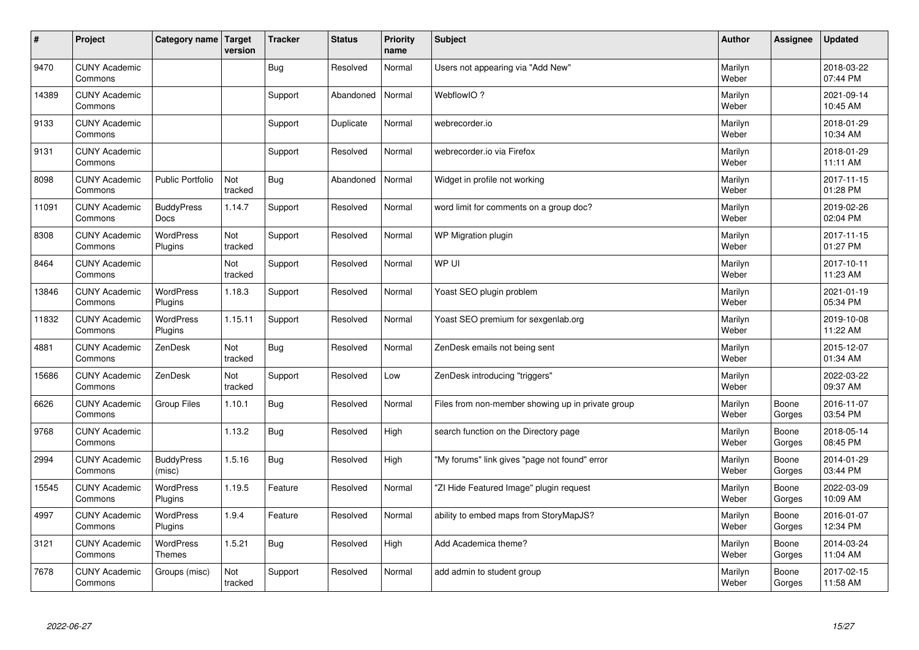| #     | Project                         | Category name   Target      | version        | <b>Tracker</b> | <b>Status</b> | <b>Priority</b><br>name | <b>Subject</b>                                    | <b>Author</b>    | Assignee        | <b>Updated</b>         |
|-------|---------------------------------|-----------------------------|----------------|----------------|---------------|-------------------------|---------------------------------------------------|------------------|-----------------|------------------------|
| 9470  | <b>CUNY Academic</b><br>Commons |                             |                | <b>Bug</b>     | Resolved      | Normal                  | Users not appearing via "Add New"                 | Marilyn<br>Weber |                 | 2018-03-22<br>07:44 PM |
| 14389 | <b>CUNY Academic</b><br>Commons |                             |                | Support        | Abandoned     | Normal                  | WebflowIO?                                        | Marilyn<br>Weber |                 | 2021-09-14<br>10:45 AM |
| 9133  | <b>CUNY Academic</b><br>Commons |                             |                | Support        | Duplicate     | Normal                  | webrecorder.io                                    | Marilyn<br>Weber |                 | 2018-01-29<br>10:34 AM |
| 9131  | <b>CUNY Academic</b><br>Commons |                             |                | Support        | Resolved      | Normal                  | webrecorder.io via Firefox                        | Marilyn<br>Weber |                 | 2018-01-29<br>11:11 AM |
| 8098  | <b>CUNY Academic</b><br>Commons | <b>Public Portfolio</b>     | Not<br>tracked | <b>Bug</b>     | Abandoned     | Normal                  | Widget in profile not working                     | Marilyn<br>Weber |                 | 2017-11-15<br>01:28 PM |
| 11091 | <b>CUNY Academic</b><br>Commons | <b>BuddyPress</b><br>Docs   | 1.14.7         | Support        | Resolved      | Normal                  | word limit for comments on a group doc?           | Marilyn<br>Weber |                 | 2019-02-26<br>02:04 PM |
| 8308  | <b>CUNY Academic</b><br>Commons | WordPress<br>Plugins        | Not<br>tracked | Support        | Resolved      | Normal                  | WP Migration plugin                               | Marilyn<br>Weber |                 | 2017-11-15<br>01:27 PM |
| 8464  | <b>CUNY Academic</b><br>Commons |                             | Not<br>tracked | Support        | Resolved      | Normal                  | WP UI                                             | Marilyn<br>Weber |                 | 2017-10-11<br>11:23 AM |
| 13846 | <b>CUNY Academic</b><br>Commons | <b>WordPress</b><br>Plugins | 1.18.3         | Support        | Resolved      | Normal                  | Yoast SEO plugin problem                          | Marilyn<br>Weber |                 | 2021-01-19<br>05:34 PM |
| 11832 | <b>CUNY Academic</b><br>Commons | WordPress<br>Plugins        | 1.15.11        | Support        | Resolved      | Normal                  | Yoast SEO premium for sexgenlab.org               | Marilyn<br>Weber |                 | 2019-10-08<br>11:22 AM |
| 4881  | <b>CUNY Academic</b><br>Commons | ZenDesk                     | Not<br>tracked | Bug            | Resolved      | Normal                  | ZenDesk emails not being sent                     | Marilyn<br>Weber |                 | 2015-12-07<br>01:34 AM |
| 15686 | <b>CUNY Academic</b><br>Commons | ZenDesk                     | Not<br>tracked | Support        | Resolved      | Low                     | ZenDesk introducing "triggers"                    | Marilyn<br>Weber |                 | 2022-03-22<br>09:37 AM |
| 6626  | <b>CUNY Academic</b><br>Commons | <b>Group Files</b>          | 1.10.1         | Bug            | Resolved      | Normal                  | Files from non-member showing up in private group | Marilyn<br>Weber | Boone<br>Gorges | 2016-11-07<br>03:54 PM |
| 9768  | <b>CUNY Academic</b><br>Commons |                             | 1.13.2         | <b>Bug</b>     | Resolved      | High                    | search function on the Directory page             | Marilyn<br>Weber | Boone<br>Gorges | 2018-05-14<br>08:45 PM |
| 2994  | <b>CUNY Academic</b><br>Commons | <b>BuddyPress</b><br>(misc) | 1.5.16         | <b>Bug</b>     | Resolved      | High                    | "My forums" link gives "page not found" error     | Marilyn<br>Weber | Boone<br>Gorges | 2014-01-29<br>03:44 PM |
| 15545 | <b>CUNY Academic</b><br>Commons | WordPress<br>Plugins        | 1.19.5         | Feature        | Resolved      | Normal                  | "ZI Hide Featured Image" plugin request           | Marilyn<br>Weber | Boone<br>Gorges | 2022-03-09<br>10:09 AM |
| 4997  | <b>CUNY Academic</b><br>Commons | WordPress<br>Plugins        | 1.9.4          | Feature        | Resolved      | Normal                  | ability to embed maps from StoryMapJS?            | Marilyn<br>Weber | Boone<br>Gorges | 2016-01-07<br>12:34 PM |
| 3121  | <b>CUNY Academic</b><br>Commons | WordPress<br><b>Themes</b>  | 1.5.21         | <b>Bug</b>     | Resolved      | High                    | Add Academica theme?                              | Marilyn<br>Weber | Boone<br>Gorges | 2014-03-24<br>11:04 AM |
| 7678  | <b>CUNY Academic</b><br>Commons | Groups (misc)               | Not<br>tracked | Support        | Resolved      | Normal                  | add admin to student group                        | Marilyn<br>Weber | Boone<br>Gorges | 2017-02-15<br>11:58 AM |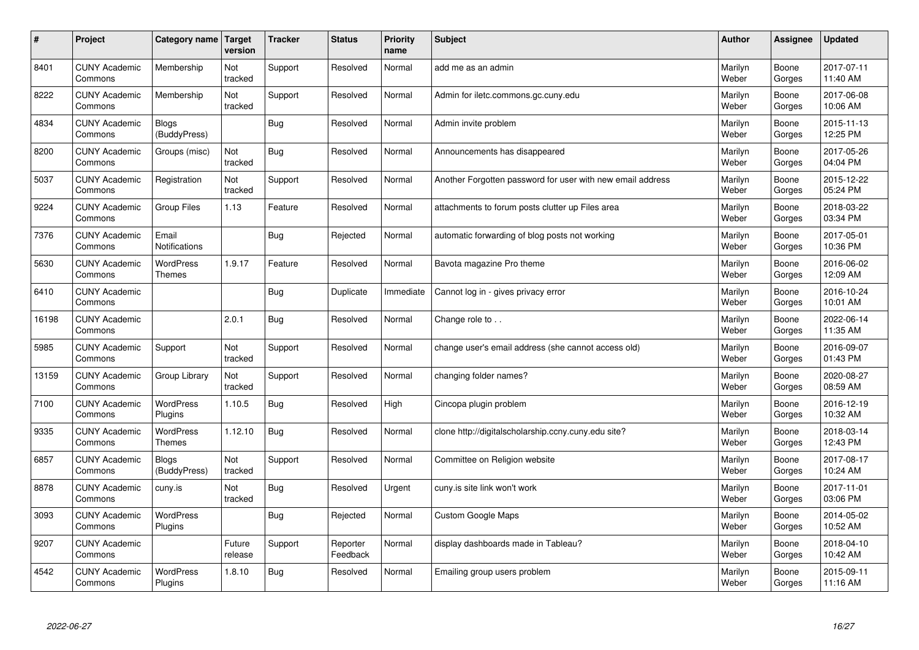| $\sharp$ | Project                         | Category name                     | Target<br>version | <b>Tracker</b> | <b>Status</b>        | <b>Priority</b><br>name | <b>Subject</b>                                             | <b>Author</b>    | Assignee        | <b>Updated</b>         |
|----------|---------------------------------|-----------------------------------|-------------------|----------------|----------------------|-------------------------|------------------------------------------------------------|------------------|-----------------|------------------------|
| 8401     | <b>CUNY Academic</b><br>Commons | Membership                        | Not<br>tracked    | Support        | Resolved             | Normal                  | add me as an admin                                         | Marilyn<br>Weber | Boone<br>Gorges | 2017-07-11<br>11:40 AM |
| 8222     | <b>CUNY Academic</b><br>Commons | Membership                        | Not<br>tracked    | Support        | Resolved             | Normal                  | Admin for iletc.commons.gc.cuny.edu                        | Marilyn<br>Weber | Boone<br>Gorges | 2017-06-08<br>10:06 AM |
| 4834     | <b>CUNY Academic</b><br>Commons | Blogs<br>(BuddyPress)             |                   | Bug            | Resolved             | Normal                  | Admin invite problem                                       | Marilyn<br>Weber | Boone<br>Gorges | 2015-11-13<br>12:25 PM |
| 8200     | <b>CUNY Academic</b><br>Commons | Groups (misc)                     | Not<br>tracked    | <b>Bug</b>     | Resolved             | Normal                  | Announcements has disappeared                              | Marilyn<br>Weber | Boone<br>Gorges | 2017-05-26<br>04:04 PM |
| 5037     | <b>CUNY Academic</b><br>Commons | Registration                      | Not<br>tracked    | Support        | Resolved             | Normal                  | Another Forgotten password for user with new email address | Marilyn<br>Weber | Boone<br>Gorges | 2015-12-22<br>05:24 PM |
| 9224     | <b>CUNY Academic</b><br>Commons | Group Files                       | 1.13              | Feature        | Resolved             | Normal                  | attachments to forum posts clutter up Files area           | Marilyn<br>Weber | Boone<br>Gorges | 2018-03-22<br>03:34 PM |
| 7376     | <b>CUNY Academic</b><br>Commons | Email<br><b>Notifications</b>     |                   | <b>Bug</b>     | Rejected             | Normal                  | automatic forwarding of blog posts not working             | Marilyn<br>Weber | Boone<br>Gorges | 2017-05-01<br>10:36 PM |
| 5630     | <b>CUNY Academic</b><br>Commons | <b>WordPress</b><br><b>Themes</b> | 1.9.17            | Feature        | Resolved             | Normal                  | Bavota magazine Pro theme                                  | Marilyn<br>Weber | Boone<br>Gorges | 2016-06-02<br>12:09 AM |
| 6410     | <b>CUNY Academic</b><br>Commons |                                   |                   | Bug            | Duplicate            | Immediate               | Cannot log in - gives privacy error                        | Marilyn<br>Weber | Boone<br>Gorges | 2016-10-24<br>10:01 AM |
| 16198    | <b>CUNY Academic</b><br>Commons |                                   | 2.0.1             | Bug            | Resolved             | Normal                  | Change role to                                             | Marilyn<br>Weber | Boone<br>Gorges | 2022-06-14<br>11:35 AM |
| 5985     | <b>CUNY Academic</b><br>Commons | Support                           | Not<br>tracked    | Support        | Resolved             | Normal                  | change user's email address (she cannot access old)        | Marilyn<br>Weber | Boone<br>Gorges | 2016-09-07<br>01:43 PM |
| 13159    | <b>CUNY Academic</b><br>Commons | Group Library                     | Not<br>tracked    | Support        | Resolved             | Normal                  | changing folder names?                                     | Marilyn<br>Weber | Boone<br>Gorges | 2020-08-27<br>08:59 AM |
| 7100     | <b>CUNY Academic</b><br>Commons | WordPress<br>Plugins              | 1.10.5            | Bug            | Resolved             | High                    | Cincopa plugin problem                                     | Marilyn<br>Weber | Boone<br>Gorges | 2016-12-19<br>10:32 AM |
| 9335     | <b>CUNY Academic</b><br>Commons | <b>WordPress</b><br><b>Themes</b> | 1.12.10           | Bug            | Resolved             | Normal                  | clone http://digitalscholarship.ccny.cuny.edu site?        | Marilyn<br>Weber | Boone<br>Gorges | 2018-03-14<br>12:43 PM |
| 6857     | <b>CUNY Academic</b><br>Commons | Blogs<br>(BuddyPress)             | Not<br>tracked    | Support        | Resolved             | Normal                  | Committee on Religion website                              | Marilyn<br>Weber | Boone<br>Gorges | 2017-08-17<br>10:24 AM |
| 8878     | <b>CUNY Academic</b><br>Commons | cuny.is                           | Not<br>tracked    | <b>Bug</b>     | Resolved             | Urgent                  | cuny.is site link won't work                               | Marilyn<br>Weber | Boone<br>Gorges | 2017-11-01<br>03:06 PM |
| 3093     | <b>CUNY Academic</b><br>Commons | WordPress<br>Plugins              |                   | Bug            | Rejected             | Normal                  | <b>Custom Google Maps</b>                                  | Marilyn<br>Weber | Boone<br>Gorges | 2014-05-02<br>10:52 AM |
| 9207     | <b>CUNY Academic</b><br>Commons |                                   | Future<br>release | Support        | Reporter<br>Feedback | Normal                  | display dashboards made in Tableau?                        | Marilyn<br>Weber | Boone<br>Gorges | 2018-04-10<br>10:42 AM |
| 4542     | <b>CUNY Academic</b><br>Commons | <b>WordPress</b><br>Plugins       | 1.8.10            | Bug            | Resolved             | Normal                  | Emailing group users problem                               | Marilyn<br>Weber | Boone<br>Gorges | 2015-09-11<br>11:16 AM |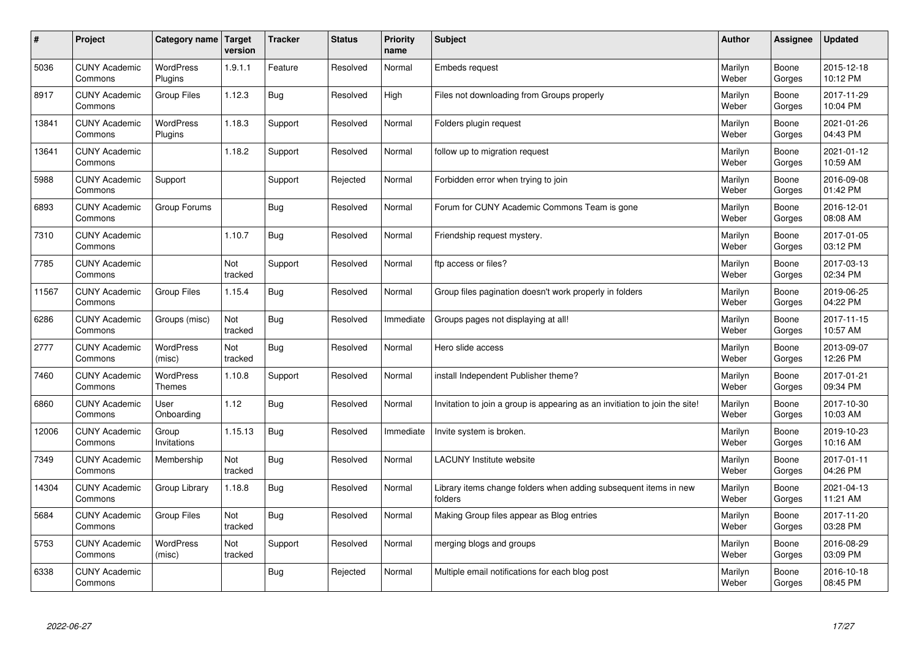| $\sharp$ | Project                         | Category name   Target            | version        | <b>Tracker</b> | <b>Status</b> | <b>Priority</b><br>name | <b>Subject</b>                                                              | <b>Author</b>    | Assignee        | <b>Updated</b>         |
|----------|---------------------------------|-----------------------------------|----------------|----------------|---------------|-------------------------|-----------------------------------------------------------------------------|------------------|-----------------|------------------------|
| 5036     | <b>CUNY Academic</b><br>Commons | <b>WordPress</b><br>Plugins       | 1.9.1.1        | Feature        | Resolved      | Normal                  | <b>Embeds request</b>                                                       | Marilyn<br>Weber | Boone<br>Gorges | 2015-12-18<br>10:12 PM |
| 8917     | <b>CUNY Academic</b><br>Commons | <b>Group Files</b>                | 1.12.3         | Bug            | Resolved      | High                    | Files not downloading from Groups properly                                  | Marilyn<br>Weber | Boone<br>Gorges | 2017-11-29<br>10:04 PM |
| 13841    | <b>CUNY Academic</b><br>Commons | <b>WordPress</b><br>Plugins       | 1.18.3         | Support        | Resolved      | Normal                  | Folders plugin request                                                      | Marilyn<br>Weber | Boone<br>Gorges | 2021-01-26<br>04:43 PM |
| 13641    | <b>CUNY Academic</b><br>Commons |                                   | 1.18.2         | Support        | Resolved      | Normal                  | follow up to migration request                                              | Marilyn<br>Weber | Boone<br>Gorges | 2021-01-12<br>10:59 AM |
| 5988     | <b>CUNY Academic</b><br>Commons | Support                           |                | Support        | Rejected      | Normal                  | Forbidden error when trying to join                                         | Marilyn<br>Weber | Boone<br>Gorges | 2016-09-08<br>01:42 PM |
| 6893     | <b>CUNY Academic</b><br>Commons | Group Forums                      |                | Bug            | Resolved      | Normal                  | Forum for CUNY Academic Commons Team is gone                                | Marilyn<br>Weber | Boone<br>Gorges | 2016-12-01<br>08:08 AM |
| 7310     | <b>CUNY Academic</b><br>Commons |                                   | 1.10.7         | Bug            | Resolved      | Normal                  | Friendship request mystery.                                                 | Marilyn<br>Weber | Boone<br>Gorges | 2017-01-05<br>03:12 PM |
| 7785     | <b>CUNY Academic</b><br>Commons |                                   | Not<br>tracked | Support        | Resolved      | Normal                  | ftp access or files?                                                        | Marilyn<br>Weber | Boone<br>Gorges | 2017-03-13<br>02:34 PM |
| 11567    | <b>CUNY Academic</b><br>Commons | Group Files                       | 1.15.4         | Bug            | Resolved      | Normal                  | Group files pagination doesn't work properly in folders                     | Marilyn<br>Weber | Boone<br>Gorges | 2019-06-25<br>04:22 PM |
| 6286     | <b>CUNY Academic</b><br>Commons | Groups (misc)                     | Not<br>tracked | Bug            | Resolved      | Immediate               | Groups pages not displaying at all!                                         | Marilyn<br>Weber | Boone<br>Gorges | 2017-11-15<br>10:57 AM |
| 2777     | <b>CUNY Academic</b><br>Commons | WordPress<br>(misc)               | Not<br>tracked | Bug            | Resolved      | Normal                  | Hero slide access                                                           | Marilyn<br>Weber | Boone<br>Gorges | 2013-09-07<br>12:26 PM |
| 7460     | <b>CUNY Academic</b><br>Commons | <b>WordPress</b><br><b>Themes</b> | 1.10.8         | Support        | Resolved      | Normal                  | install Independent Publisher theme?                                        | Marilyn<br>Weber | Boone<br>Gorges | 2017-01-21<br>09:34 PM |
| 6860     | <b>CUNY Academic</b><br>Commons | User<br>Onboarding                | 1.12           | Bug            | Resolved      | Normal                  | Invitation to join a group is appearing as an invitiation to join the site! | Marilyn<br>Weber | Boone<br>Gorges | 2017-10-30<br>10:03 AM |
| 12006    | <b>CUNY Academic</b><br>Commons | Group<br>Invitations              | 1.15.13        | Bug            | Resolved      | Immediate               | Invite system is broken.                                                    | Marilyn<br>Weber | Boone<br>Gorges | 2019-10-23<br>10:16 AM |
| 7349     | <b>CUNY Academic</b><br>Commons | Membership                        | Not<br>tracked | Bug            | Resolved      | Normal                  | <b>LACUNY Institute website</b>                                             | Marilyn<br>Weber | Boone<br>Gorges | 2017-01-11<br>04:26 PM |
| 14304    | <b>CUNY Academic</b><br>Commons | Group Library                     | 1.18.8         | Bug            | Resolved      | Normal                  | Library items change folders when adding subsequent items in new<br>folders | Marilyn<br>Weber | Boone<br>Gorges | 2021-04-13<br>11:21 AM |
| 5684     | <b>CUNY Academic</b><br>Commons | Group Files                       | Not<br>tracked | Bug            | Resolved      | Normal                  | Making Group files appear as Blog entries                                   | Marilyn<br>Weber | Boone<br>Gorges | 2017-11-20<br>03:28 PM |
| 5753     | <b>CUNY Academic</b><br>Commons | WordPress<br>(misc)               | Not<br>tracked | Support        | Resolved      | Normal                  | merging blogs and groups                                                    | Marilyn<br>Weber | Boone<br>Gorges | 2016-08-29<br>03:09 PM |
| 6338     | <b>CUNY Academic</b><br>Commons |                                   |                | Bug            | Rejected      | Normal                  | Multiple email notifications for each blog post                             | Marilyn<br>Weber | Boone<br>Gorges | 2016-10-18<br>08:45 PM |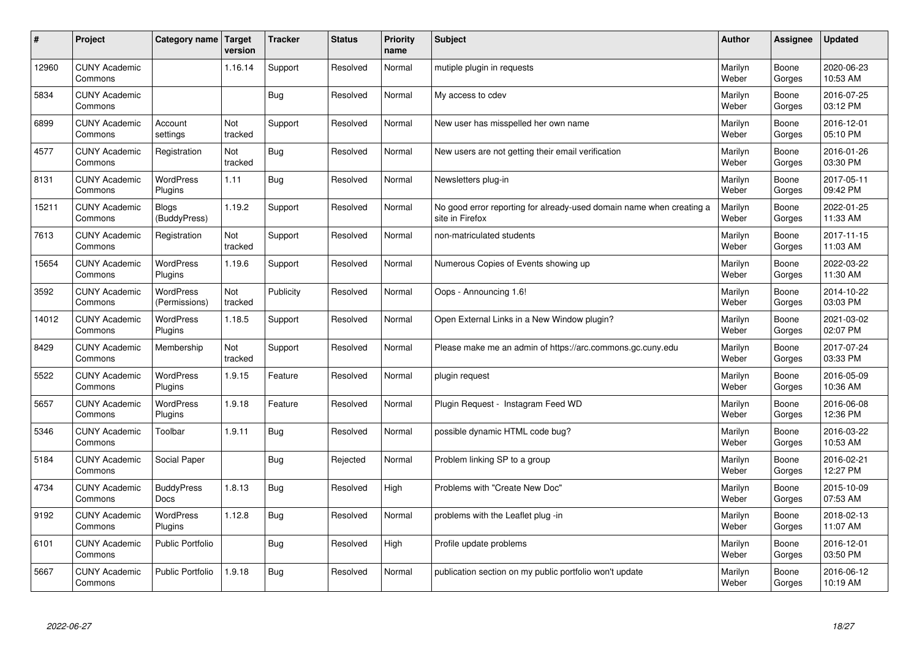| #     | Project                         | Category name   Target           | version        | <b>Tracker</b> | <b>Status</b> | <b>Priority</b><br>name | <b>Subject</b>                                                                          | <b>Author</b>    | Assignee        | <b>Updated</b>         |
|-------|---------------------------------|----------------------------------|----------------|----------------|---------------|-------------------------|-----------------------------------------------------------------------------------------|------------------|-----------------|------------------------|
| 12960 | <b>CUNY Academic</b><br>Commons |                                  | 1.16.14        | Support        | Resolved      | Normal                  | mutiple plugin in requests                                                              | Marilyn<br>Weber | Boone<br>Gorges | 2020-06-23<br>10:53 AM |
| 5834  | <b>CUNY Academic</b><br>Commons |                                  |                | <b>Bug</b>     | Resolved      | Normal                  | My access to cdev                                                                       | Marilyn<br>Weber | Boone<br>Gorges | 2016-07-25<br>03:12 PM |
| 6899  | <b>CUNY Academic</b><br>Commons | Account<br>settings              | Not<br>tracked | Support        | Resolved      | Normal                  | New user has misspelled her own name                                                    | Marilyn<br>Weber | Boone<br>Gorges | 2016-12-01<br>05:10 PM |
| 4577  | <b>CUNY Academic</b><br>Commons | Registration                     | Not<br>tracked | Bug            | Resolved      | Normal                  | New users are not getting their email verification                                      | Marilyn<br>Weber | Boone<br>Gorges | 2016-01-26<br>03:30 PM |
| 8131  | <b>CUNY Academic</b><br>Commons | <b>WordPress</b><br>Plugins      | 1.11           | Bug            | Resolved      | Normal                  | Newsletters plug-in                                                                     | Marilyn<br>Weber | Boone<br>Gorges | 2017-05-11<br>09:42 PM |
| 15211 | <b>CUNY Academic</b><br>Commons | <b>Blogs</b><br>(BuddyPress)     | 1.19.2         | Support        | Resolved      | Normal                  | No good error reporting for already-used domain name when creating a<br>site in Firefox | Marilyn<br>Weber | Boone<br>Gorges | 2022-01-25<br>11:33 AM |
| 7613  | <b>CUNY Academic</b><br>Commons | Registration                     | Not<br>tracked | Support        | Resolved      | Normal                  | non-matriculated students                                                               | Marilyn<br>Weber | Boone<br>Gorges | 2017-11-15<br>11:03 AM |
| 15654 | <b>CUNY Academic</b><br>Commons | <b>WordPress</b><br>Plugins      | 1.19.6         | Support        | Resolved      | Normal                  | Numerous Copies of Events showing up                                                    | Marilyn<br>Weber | Boone<br>Gorges | 2022-03-22<br>11:30 AM |
| 3592  | <b>CUNY Academic</b><br>Commons | WordPress<br>(Permissions)       | Not<br>tracked | Publicity      | Resolved      | Normal                  | Oops - Announcing 1.6!                                                                  | Marilyn<br>Weber | Boone<br>Gorges | 2014-10-22<br>03:03 PM |
| 14012 | <b>CUNY Academic</b><br>Commons | WordPress<br>Plugins             | 1.18.5         | Support        | Resolved      | Normal                  | Open External Links in a New Window plugin?                                             | Marilyn<br>Weber | Boone<br>Gorges | 2021-03-02<br>02:07 PM |
| 8429  | <b>CUNY Academic</b><br>Commons | Membership                       | Not<br>tracked | Support        | Resolved      | Normal                  | Please make me an admin of https://arc.commons.gc.cuny.edu                              | Marilyn<br>Weber | Boone<br>Gorges | 2017-07-24<br>03:33 PM |
| 5522  | <b>CUNY Academic</b><br>Commons | <b>WordPress</b><br>Plugins      | 1.9.15         | Feature        | Resolved      | Normal                  | plugin request                                                                          | Marilyn<br>Weber | Boone<br>Gorges | 2016-05-09<br>10:36 AM |
| 5657  | <b>CUNY Academic</b><br>Commons | WordPress<br>Plugins             | 1.9.18         | Feature        | Resolved      | Normal                  | Plugin Request - Instagram Feed WD                                                      | Marilyn<br>Weber | Boone<br>Gorges | 2016-06-08<br>12:36 PM |
| 5346  | <b>CUNY Academic</b><br>Commons | Toolbar                          | 1.9.11         | Bug            | Resolved      | Normal                  | possible dynamic HTML code bug?                                                         | Marilyn<br>Weber | Boone<br>Gorges | 2016-03-22<br>10:53 AM |
| 5184  | <b>CUNY Academic</b><br>Commons | Social Paper                     |                | Bug            | Rejected      | Normal                  | Problem linking SP to a group                                                           | Marilyn<br>Weber | Boone<br>Gorges | 2016-02-21<br>12:27 PM |
| 4734  | <b>CUNY Academic</b><br>Commons | <b>BuddyPress</b><br><b>Docs</b> | 1.8.13         | Bug            | Resolved      | High                    | Problems with "Create New Doc"                                                          | Marilyn<br>Weber | Boone<br>Gorges | 2015-10-09<br>07:53 AM |
| 9192  | <b>CUNY Academic</b><br>Commons | WordPress<br>Plugins             | 1.12.8         | Bug            | Resolved      | Normal                  | problems with the Leaflet plug -in                                                      | Marilyn<br>Weber | Boone<br>Gorges | 2018-02-13<br>11:07 AM |
| 6101  | <b>CUNY Academic</b><br>Commons | Public Portfolio                 |                | Bug            | Resolved      | High                    | Profile update problems                                                                 | Marilyn<br>Weber | Boone<br>Gorges | 2016-12-01<br>03:50 PM |
| 5667  | <b>CUNY Academic</b><br>Commons | <b>Public Portfolio</b>          | 1.9.18         | Bug            | Resolved      | Normal                  | publication section on my public portfolio won't update                                 | Marilyn<br>Weber | Boone<br>Gorges | 2016-06-12<br>10:19 AM |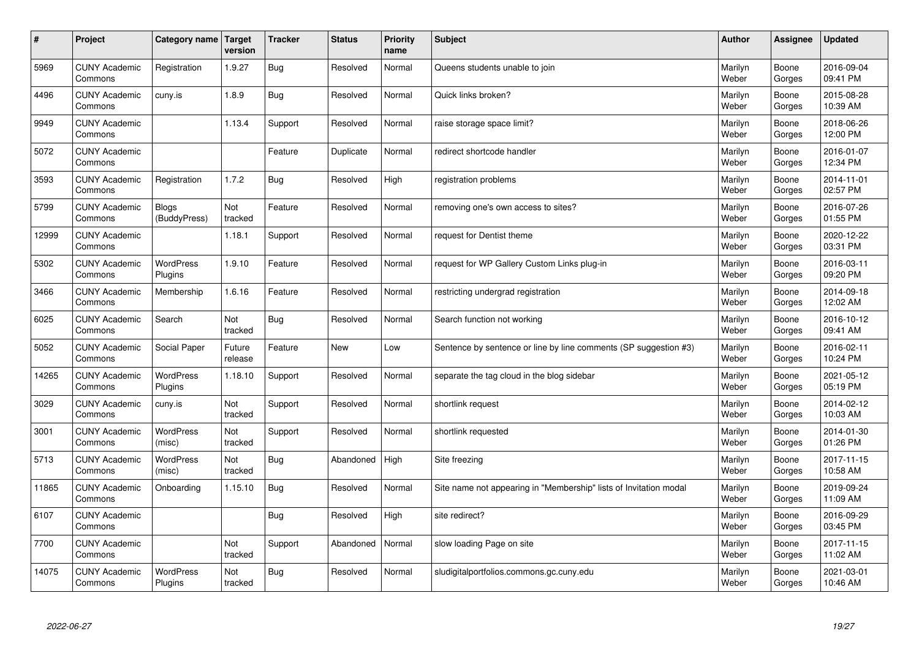| #     | Project                         | Category name   Target       | version           | <b>Tracker</b> | <b>Status</b> | <b>Priority</b><br>name | <b>Subject</b>                                                    | <b>Author</b>    | Assignee        | <b>Updated</b>         |
|-------|---------------------------------|------------------------------|-------------------|----------------|---------------|-------------------------|-------------------------------------------------------------------|------------------|-----------------|------------------------|
| 5969  | <b>CUNY Academic</b><br>Commons | Registration                 | 1.9.27            | Bug            | Resolved      | Normal                  | Queens students unable to join                                    | Marilyn<br>Weber | Boone<br>Gorges | 2016-09-04<br>09:41 PM |
| 4496  | <b>CUNY Academic</b><br>Commons | cuny.is                      | 1.8.9             | Bug            | Resolved      | Normal                  | Quick links broken?                                               | Marilyn<br>Weber | Boone<br>Gorges | 2015-08-28<br>10:39 AM |
| 9949  | <b>CUNY Academic</b><br>Commons |                              | 1.13.4            | Support        | Resolved      | Normal                  | raise storage space limit?                                        | Marilyn<br>Weber | Boone<br>Gorges | 2018-06-26<br>12:00 PM |
| 5072  | <b>CUNY Academic</b><br>Commons |                              |                   | Feature        | Duplicate     | Normal                  | redirect shortcode handler                                        | Marilyn<br>Weber | Boone<br>Gorges | 2016-01-07<br>12:34 PM |
| 3593  | <b>CUNY Academic</b><br>Commons | Registration                 | 1.7.2             | Bug            | Resolved      | High                    | registration problems                                             | Marilyn<br>Weber | Boone<br>Gorges | 2014-11-01<br>02:57 PM |
| 5799  | <b>CUNY Academic</b><br>Commons | <b>Blogs</b><br>(BuddyPress) | Not<br>tracked    | Feature        | Resolved      | Normal                  | removing one's own access to sites?                               | Marilyn<br>Weber | Boone<br>Gorges | 2016-07-26<br>01:55 PM |
| 12999 | <b>CUNY Academic</b><br>Commons |                              | 1.18.1            | Support        | Resolved      | Normal                  | request for Dentist theme                                         | Marilyn<br>Weber | Boone<br>Gorges | 2020-12-22<br>03:31 PM |
| 5302  | <b>CUNY Academic</b><br>Commons | <b>WordPress</b><br>Plugins  | 1.9.10            | Feature        | Resolved      | Normal                  | request for WP Gallery Custom Links plug-in                       | Marilyn<br>Weber | Boone<br>Gorges | 2016-03-11<br>09:20 PM |
| 3466  | <b>CUNY Academic</b><br>Commons | Membership                   | 1.6.16            | Feature        | Resolved      | Normal                  | restricting undergrad registration                                | Marilyn<br>Weber | Boone<br>Gorges | 2014-09-18<br>12:02 AM |
| 6025  | <b>CUNY Academic</b><br>Commons | Search                       | Not<br>tracked    | Bug            | Resolved      | Normal                  | Search function not working                                       | Marilyn<br>Weber | Boone<br>Gorges | 2016-10-12<br>09:41 AM |
| 5052  | <b>CUNY Academic</b><br>Commons | Social Paper                 | Future<br>release | Feature        | <b>New</b>    | Low                     | Sentence by sentence or line by line comments (SP suggestion #3)  | Marilyn<br>Weber | Boone<br>Gorges | 2016-02-11<br>10:24 PM |
| 14265 | <b>CUNY Academic</b><br>Commons | <b>WordPress</b><br>Plugins  | 1.18.10           | Support        | Resolved      | Normal                  | separate the tag cloud in the blog sidebar                        | Marilyn<br>Weber | Boone<br>Gorges | 2021-05-12<br>05:19 PM |
| 3029  | <b>CUNY Academic</b><br>Commons | cuny.is                      | Not<br>tracked    | Support        | Resolved      | Normal                  | shortlink request                                                 | Marilyn<br>Weber | Boone<br>Gorges | 2014-02-12<br>10:03 AM |
| 3001  | <b>CUNY Academic</b><br>Commons | WordPress<br>(misc)          | Not<br>tracked    | Support        | Resolved      | Normal                  | shortlink requested                                               | Marilyn<br>Weber | Boone<br>Gorges | 2014-01-30<br>01:26 PM |
| 5713  | <b>CUNY Academic</b><br>Commons | <b>WordPress</b><br>(misc)   | Not<br>tracked    | <b>Bug</b>     | Abandoned     | High                    | Site freezing                                                     | Marilyn<br>Weber | Boone<br>Gorges | 2017-11-15<br>10:58 AM |
| 11865 | <b>CUNY Academic</b><br>Commons | Onboarding                   | 1.15.10           | Bug            | Resolved      | Normal                  | Site name not appearing in "Membership" lists of Invitation modal | Marilyn<br>Weber | Boone<br>Gorges | 2019-09-24<br>11:09 AM |
| 6107  | <b>CUNY Academic</b><br>Commons |                              |                   | Bug            | Resolved      | High                    | site redirect?                                                    | Marilyn<br>Weber | Boone<br>Gorges | 2016-09-29<br>03:45 PM |
| 7700  | <b>CUNY Academic</b><br>Commons |                              | Not<br>tracked    | Support        | Abandoned     | Normal                  | slow loading Page on site                                         | Marilyn<br>Weber | Boone<br>Gorges | 2017-11-15<br>11:02 AM |
| 14075 | <b>CUNY Academic</b><br>Commons | <b>WordPress</b><br>Plugins  | Not<br>tracked    | Bug            | Resolved      | Normal                  | sludigitalportfolios.commons.gc.cuny.edu                          | Marilyn<br>Weber | Boone<br>Gorges | 2021-03-01<br>10:46 AM |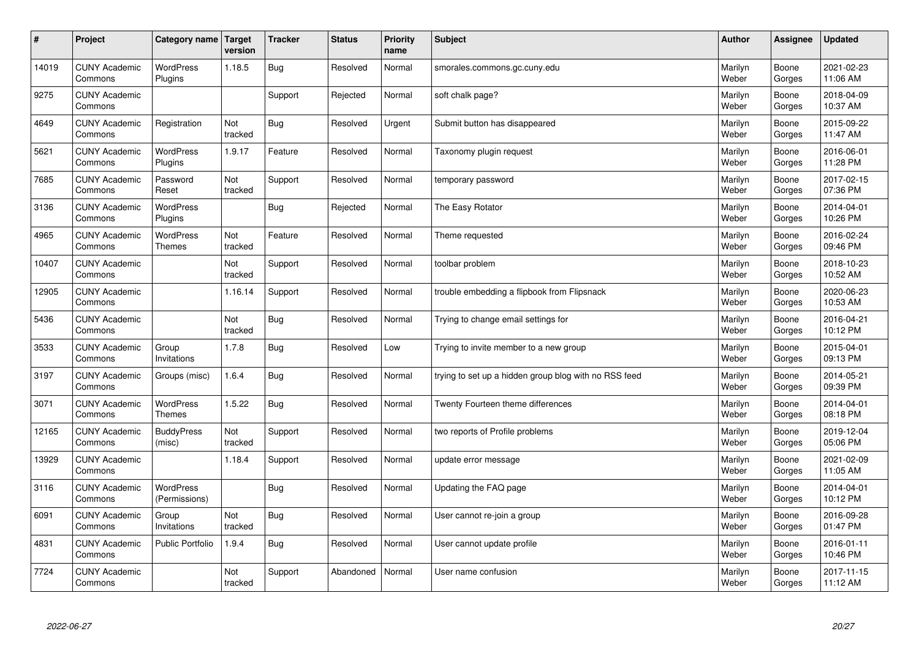| $\sharp$ | Project                         | Category name   Target            | version        | <b>Tracker</b> | <b>Status</b> | <b>Priority</b><br>name | <b>Subject</b>                                        | <b>Author</b>    | Assignee        | <b>Updated</b>         |
|----------|---------------------------------|-----------------------------------|----------------|----------------|---------------|-------------------------|-------------------------------------------------------|------------------|-----------------|------------------------|
| 14019    | <b>CUNY Academic</b><br>Commons | <b>WordPress</b><br>Plugins       | 1.18.5         | Bug            | Resolved      | Normal                  | smorales.commons.gc.cuny.edu                          | Marilyn<br>Weber | Boone<br>Gorges | 2021-02-23<br>11:06 AM |
| 9275     | <b>CUNY Academic</b><br>Commons |                                   |                | Support        | Rejected      | Normal                  | soft chalk page?                                      | Marilyn<br>Weber | Boone<br>Gorges | 2018-04-09<br>10:37 AM |
| 4649     | <b>CUNY Academic</b><br>Commons | Registration                      | Not<br>tracked | Bug            | Resolved      | Urgent                  | Submit button has disappeared                         | Marilyn<br>Weber | Boone<br>Gorges | 2015-09-22<br>11:47 AM |
| 5621     | <b>CUNY Academic</b><br>Commons | <b>WordPress</b><br>Plugins       | 1.9.17         | Feature        | Resolved      | Normal                  | Taxonomy plugin request                               | Marilyn<br>Weber | Boone<br>Gorges | 2016-06-01<br>11:28 PM |
| 7685     | <b>CUNY Academic</b><br>Commons | Password<br>Reset                 | Not<br>tracked | Support        | Resolved      | Normal                  | temporary password                                    | Marilyn<br>Weber | Boone<br>Gorges | 2017-02-15<br>07:36 PM |
| 3136     | <b>CUNY Academic</b><br>Commons | WordPress<br>Plugins              |                | <b>Bug</b>     | Rejected      | Normal                  | The Easy Rotator                                      | Marilyn<br>Weber | Boone<br>Gorges | 2014-04-01<br>10:26 PM |
| 4965     | <b>CUNY Academic</b><br>Commons | WordPress<br><b>Themes</b>        | Not<br>tracked | Feature        | Resolved      | Normal                  | Theme requested                                       | Marilyn<br>Weber | Boone<br>Gorges | 2016-02-24<br>09:46 PM |
| 10407    | <b>CUNY Academic</b><br>Commons |                                   | Not<br>tracked | Support        | Resolved      | Normal                  | toolbar problem                                       | Marilyn<br>Weber | Boone<br>Gorges | 2018-10-23<br>10:52 AM |
| 12905    | <b>CUNY Academic</b><br>Commons |                                   | 1.16.14        | Support        | Resolved      | Normal                  | trouble embedding a flipbook from Flipsnack           | Marilyn<br>Weber | Boone<br>Gorges | 2020-06-23<br>10:53 AM |
| 5436     | <b>CUNY Academic</b><br>Commons |                                   | Not<br>tracked | Bug            | Resolved      | Normal                  | Trying to change email settings for                   | Marilyn<br>Weber | Boone<br>Gorges | 2016-04-21<br>10:12 PM |
| 3533     | <b>CUNY Academic</b><br>Commons | Group<br>Invitations              | 1.7.8          | <b>Bug</b>     | Resolved      | Low                     | Trying to invite member to a new group                | Marilyn<br>Weber | Boone<br>Gorges | 2015-04-01<br>09:13 PM |
| 3197     | <b>CUNY Academic</b><br>Commons | Groups (misc)                     | 1.6.4          | Bug            | Resolved      | Normal                  | trying to set up a hidden group blog with no RSS feed | Marilyn<br>Weber | Boone<br>Gorges | 2014-05-21<br>09:39 PM |
| 3071     | <b>CUNY Academic</b><br>Commons | WordPress<br>Themes               | 1.5.22         | Bug            | Resolved      | Normal                  | Twenty Fourteen theme differences                     | Marilyn<br>Weber | Boone<br>Gorges | 2014-04-01<br>08:18 PM |
| 12165    | <b>CUNY Academic</b><br>Commons | <b>BuddyPress</b><br>(misc)       | Not<br>tracked | Support        | Resolved      | Normal                  | two reports of Profile problems                       | Marilyn<br>Weber | Boone<br>Gorges | 2019-12-04<br>05:06 PM |
| 13929    | <b>CUNY Academic</b><br>Commons |                                   | 1.18.4         | Support        | Resolved      | Normal                  | update error message                                  | Marilyn<br>Weber | Boone<br>Gorges | 2021-02-09<br>11:05 AM |
| 3116     | <b>CUNY Academic</b><br>Commons | <b>WordPress</b><br>(Permissions) |                | Bug            | Resolved      | Normal                  | Updating the FAQ page                                 | Marilyn<br>Weber | Boone<br>Gorges | 2014-04-01<br>10:12 PM |
| 6091     | <b>CUNY Academic</b><br>Commons | Group<br>Invitations              | Not<br>tracked | Bug            | Resolved      | Normal                  | User cannot re-join a group                           | Marilyn<br>Weber | Boone<br>Gorges | 2016-09-28<br>01:47 PM |
| 4831     | <b>CUNY Academic</b><br>Commons | Public Portfolio                  | 1.9.4          | <b>Bug</b>     | Resolved      | Normal                  | User cannot update profile                            | Marilyn<br>Weber | Boone<br>Gorges | 2016-01-11<br>10:46 PM |
| 7724     | <b>CUNY Academic</b><br>Commons |                                   | Not<br>tracked | Support        | Abandoned     | Normal                  | User name confusion                                   | Marilyn<br>Weber | Boone<br>Gorges | 2017-11-15<br>11:12 AM |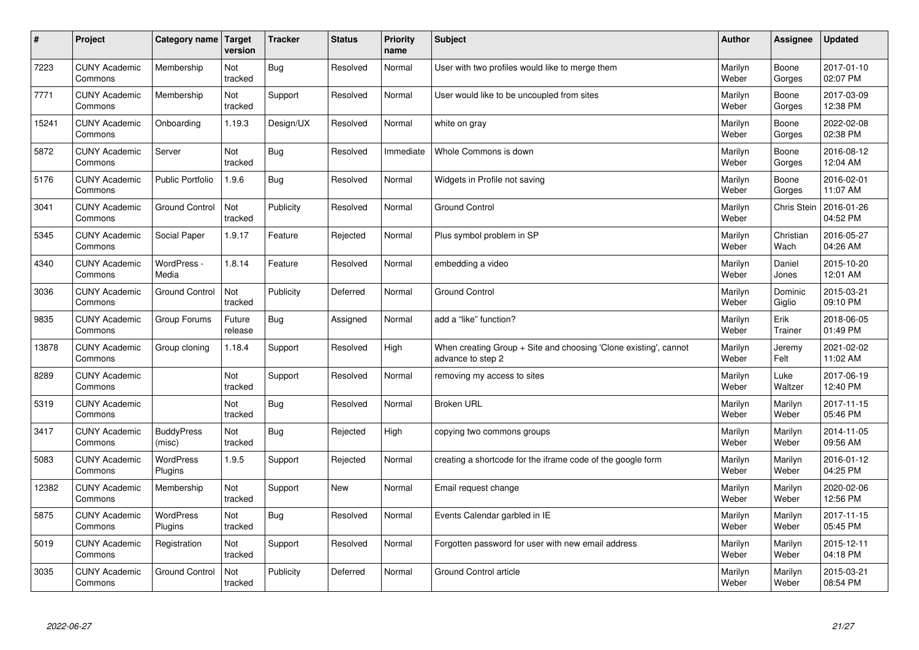| $\sharp$ | Project                         | Category name   Target      | version           | <b>Tracker</b> | <b>Status</b> | <b>Priority</b><br>name | <b>Subject</b>                                                                        | <b>Author</b>    | Assignee           | <b>Updated</b>         |
|----------|---------------------------------|-----------------------------|-------------------|----------------|---------------|-------------------------|---------------------------------------------------------------------------------------|------------------|--------------------|------------------------|
| 7223     | <b>CUNY Academic</b><br>Commons | Membership                  | Not<br>tracked    | Bug            | Resolved      | Normal                  | User with two profiles would like to merge them                                       | Marilyn<br>Weber | Boone<br>Gorges    | 2017-01-10<br>02:07 PM |
| 7771     | <b>CUNY Academic</b><br>Commons | Membership                  | Not<br>tracked    | Support        | Resolved      | Normal                  | User would like to be uncoupled from sites                                            | Marilyn<br>Weber | Boone<br>Gorges    | 2017-03-09<br>12:38 PM |
| 15241    | <b>CUNY Academic</b><br>Commons | Onboarding                  | 1.19.3            | Design/UX      | Resolved      | Normal                  | white on gray                                                                         | Marilyn<br>Weber | Boone<br>Gorges    | 2022-02-08<br>02:38 PM |
| 5872     | <b>CUNY Academic</b><br>Commons | Server                      | Not<br>tracked    | <b>Bug</b>     | Resolved      | Immediate               | Whole Commons is down                                                                 | Marilyn<br>Weber | Boone<br>Gorges    | 2016-08-12<br>12:04 AM |
| 5176     | <b>CUNY Academic</b><br>Commons | <b>Public Portfolio</b>     | 1.9.6             | Bug            | Resolved      | Normal                  | Widgets in Profile not saving                                                         | Marilyn<br>Weber | Boone<br>Gorges    | 2016-02-01<br>11:07 AM |
| 3041     | <b>CUNY Academic</b><br>Commons | <b>Ground Control</b>       | Not<br>tracked    | Publicity      | Resolved      | Normal                  | Ground Control                                                                        | Marilyn<br>Weber | <b>Chris Stein</b> | 2016-01-26<br>04:52 PM |
| 5345     | <b>CUNY Academic</b><br>Commons | Social Paper                | 1.9.17            | Feature        | Rejected      | Normal                  | Plus symbol problem in SP                                                             | Marilyn<br>Weber | Christian<br>Wach  | 2016-05-27<br>04:26 AM |
| 4340     | <b>CUNY Academic</b><br>Commons | WordPress -<br>Media        | 1.8.14            | Feature        | Resolved      | Normal                  | embedding a video                                                                     | Marilyn<br>Weber | Daniel<br>Jones    | 2015-10-20<br>12:01 AM |
| 3036     | <b>CUNY Academic</b><br>Commons | <b>Ground Control</b>       | Not<br>tracked    | Publicity      | Deferred      | Normal                  | <b>Ground Control</b>                                                                 | Marilyn<br>Weber | Dominic<br>Giglio  | 2015-03-21<br>09:10 PM |
| 9835     | <b>CUNY Academic</b><br>Commons | Group Forums                | Future<br>release | Bug            | Assigned      | Normal                  | add a "like" function?                                                                | Marilyn<br>Weber | Erik<br>Trainer    | 2018-06-05<br>01:49 PM |
| 13878    | <b>CUNY Academic</b><br>Commons | Group cloning               | 1.18.4            | Support        | Resolved      | High                    | When creating Group + Site and choosing 'Clone existing', cannot<br>advance to step 2 | Marilyn<br>Weber | Jeremy<br>Felt     | 2021-02-02<br>11:02 AM |
| 8289     | <b>CUNY Academic</b><br>Commons |                             | Not<br>tracked    | Support        | Resolved      | Normal                  | removing my access to sites                                                           | Marilyn<br>Weber | Luke<br>Waltzer    | 2017-06-19<br>12:40 PM |
| 5319     | <b>CUNY Academic</b><br>Commons |                             | Not<br>tracked    | Bug            | Resolved      | Normal                  | <b>Broken URL</b>                                                                     | Marilyn<br>Weber | Marilyn<br>Weber   | 2017-11-15<br>05:46 PM |
| 3417     | <b>CUNY Academic</b><br>Commons | <b>BuddyPress</b><br>(misc) | Not<br>tracked    | Bug            | Rejected      | High                    | copying two commons groups                                                            | Marilyn<br>Weber | Marilyn<br>Weber   | 2014-11-05<br>09:56 AM |
| 5083     | <b>CUNY Academic</b><br>Commons | <b>WordPress</b><br>Plugins | 1.9.5             | Support        | Rejected      | Normal                  | creating a shortcode for the iframe code of the google form                           | Marilyn<br>Weber | Marilyn<br>Weber   | 2016-01-12<br>04:25 PM |
| 12382    | <b>CUNY Academic</b><br>Commons | Membership                  | Not<br>tracked    | Support        | <b>New</b>    | Normal                  | Email request change                                                                  | Marilyn<br>Weber | Marilyn<br>Weber   | 2020-02-06<br>12:56 PM |
| 5875     | <b>CUNY Academic</b><br>Commons | WordPress<br>Plugins        | Not<br>tracked    | Bug            | Resolved      | Normal                  | Events Calendar garbled in IE                                                         | Marilyn<br>Weber | Marilyn<br>Weber   | 2017-11-15<br>05:45 PM |
| 5019     | <b>CUNY Academic</b><br>Commons | Registration                | Not<br>tracked    | Support        | Resolved      | Normal                  | Forgotten password for user with new email address                                    | Marilyn<br>Weber | Marilyn<br>Weber   | 2015-12-11<br>04:18 PM |
| 3035     | <b>CUNY Academic</b><br>Commons | <b>Ground Control</b>       | Not<br>tracked    | Publicity      | Deferred      | Normal                  | Ground Control article                                                                | Marilyn<br>Weber | Marilyn<br>Weber   | 2015-03-21<br>08:54 PM |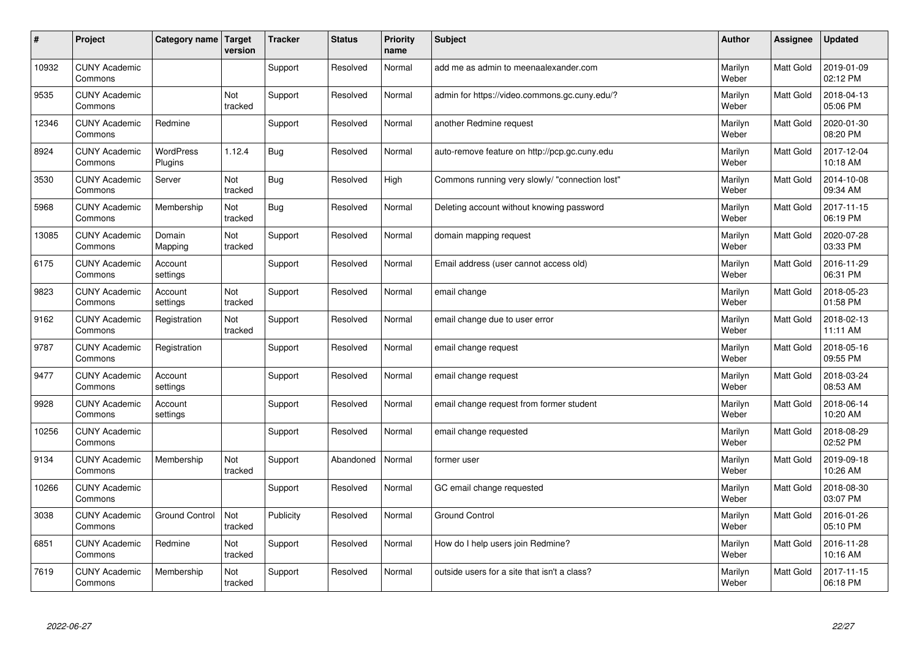| #     | Project                         | Category name               | <b>Target</b><br>version | <b>Tracker</b> | <b>Status</b> | <b>Priority</b><br>name | <b>Subject</b>                                 | <b>Author</b>    | Assignee         | <b>Updated</b>         |
|-------|---------------------------------|-----------------------------|--------------------------|----------------|---------------|-------------------------|------------------------------------------------|------------------|------------------|------------------------|
| 10932 | <b>CUNY Academic</b><br>Commons |                             |                          | Support        | Resolved      | Normal                  | add me as admin to meenaalexander.com          | Marilyn<br>Weber | Matt Gold        | 2019-01-09<br>02:12 PM |
| 9535  | <b>CUNY Academic</b><br>Commons |                             | Not<br>tracked           | Support        | Resolved      | Normal                  | admin for https://video.commons.gc.cuny.edu/?  | Marilyn<br>Weber | Matt Gold        | 2018-04-13<br>05:06 PM |
| 12346 | <b>CUNY Academic</b><br>Commons | Redmine                     |                          | Support        | Resolved      | Normal                  | another Redmine request                        | Marilyn<br>Weber | Matt Gold        | 2020-01-30<br>08:20 PM |
| 8924  | <b>CUNY Academic</b><br>Commons | <b>WordPress</b><br>Plugins | 1.12.4                   | <b>Bug</b>     | Resolved      | Normal                  | auto-remove feature on http://pcp.gc.cuny.edu  | Marilyn<br>Weber | Matt Gold        | 2017-12-04<br>10:18 AM |
| 3530  | <b>CUNY Academic</b><br>Commons | Server                      | Not<br>tracked           | <b>Bug</b>     | Resolved      | High                    | Commons running very slowly/ "connection lost" | Marilyn<br>Weber | <b>Matt Gold</b> | 2014-10-08<br>09:34 AM |
| 5968  | <b>CUNY Academic</b><br>Commons | Membership                  | Not<br>tracked           | <b>Bug</b>     | Resolved      | Normal                  | Deleting account without knowing password      | Marilyn<br>Weber | Matt Gold        | 2017-11-15<br>06:19 PM |
| 13085 | <b>CUNY Academic</b><br>Commons | Domain<br>Mapping           | Not<br>tracked           | Support        | Resolved      | Normal                  | domain mapping request                         | Marilyn<br>Weber | Matt Gold        | 2020-07-28<br>03:33 PM |
| 6175  | <b>CUNY Academic</b><br>Commons | Account<br>settings         |                          | Support        | Resolved      | Normal                  | Email address (user cannot access old)         | Marilyn<br>Weber | Matt Gold        | 2016-11-29<br>06:31 PM |
| 9823  | <b>CUNY Academic</b><br>Commons | Account<br>settings         | Not<br>tracked           | Support        | Resolved      | Normal                  | email change                                   | Marilyn<br>Weber | Matt Gold        | 2018-05-23<br>01:58 PM |
| 9162  | <b>CUNY Academic</b><br>Commons | Registration                | Not<br>tracked           | Support        | Resolved      | Normal                  | email change due to user error                 | Marilyn<br>Weber | Matt Gold        | 2018-02-13<br>11:11 AM |
| 9787  | <b>CUNY Academic</b><br>Commons | Registration                |                          | Support        | Resolved      | Normal                  | email change request                           | Marilyn<br>Weber | Matt Gold        | 2018-05-16<br>09:55 PM |
| 9477  | <b>CUNY Academic</b><br>Commons | Account<br>settings         |                          | Support        | Resolved      | Normal                  | email change request                           | Marilyn<br>Weber | Matt Gold        | 2018-03-24<br>08:53 AM |
| 9928  | <b>CUNY Academic</b><br>Commons | Account<br>settings         |                          | Support        | Resolved      | Normal                  | email change request from former student       | Marilyn<br>Weber | Matt Gold        | 2018-06-14<br>10:20 AM |
| 10256 | <b>CUNY Academic</b><br>Commons |                             |                          | Support        | Resolved      | Normal                  | email change requested                         | Marilyn<br>Weber | Matt Gold        | 2018-08-29<br>02:52 PM |
| 9134  | <b>CUNY Academic</b><br>Commons | Membership                  | Not<br>tracked           | Support        | Abandoned     | Normal                  | former user                                    | Marilyn<br>Weber | Matt Gold        | 2019-09-18<br>10:26 AM |
| 10266 | <b>CUNY Academic</b><br>Commons |                             |                          | Support        | Resolved      | Normal                  | GC email change requested                      | Marilyn<br>Weber | Matt Gold        | 2018-08-30<br>03:07 PM |
| 3038  | <b>CUNY Academic</b><br>Commons | <b>Ground Control</b>       | Not<br>tracked           | Publicity      | Resolved      | Normal                  | <b>Ground Control</b>                          | Marilyn<br>Weber | Matt Gold        | 2016-01-26<br>05:10 PM |
| 6851  | <b>CUNY Academic</b><br>Commons | Redmine                     | Not<br>tracked           | Support        | Resolved      | Normal                  | How do I help users join Redmine?              | Marilyn<br>Weber | Matt Gold        | 2016-11-28<br>10:16 AM |
| 7619  | <b>CUNY Academic</b><br>Commons | Membership                  | Not<br>tracked           | Support        | Resolved      | Normal                  | outside users for a site that isn't a class?   | Marilyn<br>Weber | Matt Gold        | 2017-11-15<br>06:18 PM |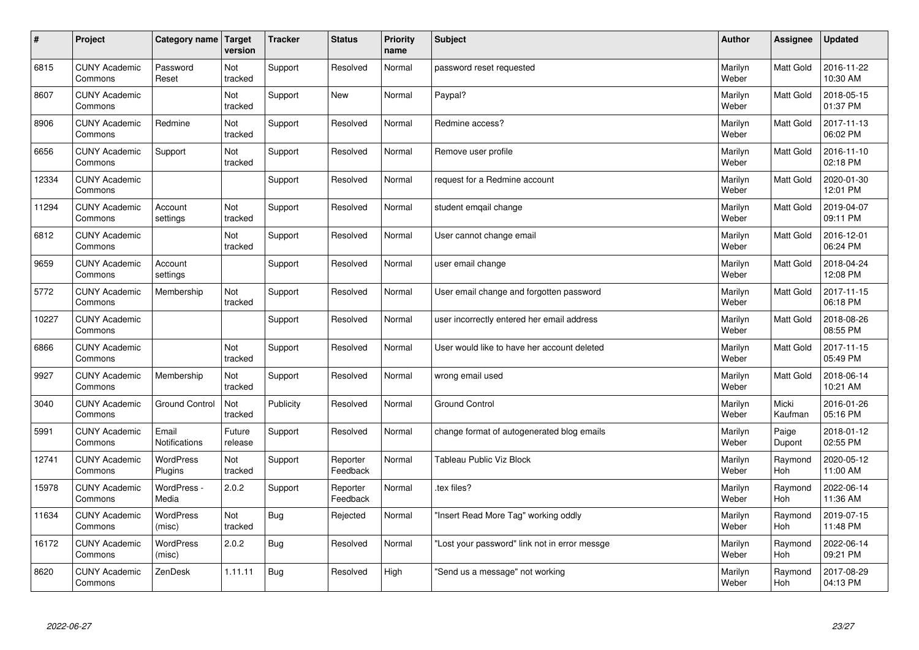| $\vert$ # | Project                         | Category name Target          | version           | <b>Tracker</b> | <b>Status</b>        | <b>Priority</b><br>name | <b>Subject</b>                                | <b>Author</b>    | <b>Assignee</b>  | <b>Updated</b>         |
|-----------|---------------------------------|-------------------------------|-------------------|----------------|----------------------|-------------------------|-----------------------------------------------|------------------|------------------|------------------------|
| 6815      | <b>CUNY Academic</b><br>Commons | Password<br>Reset             | Not<br>tracked    | Support        | Resolved             | Normal                  | password reset requested                      | Marilyn<br>Weber | <b>Matt Gold</b> | 2016-11-22<br>10:30 AM |
| 8607      | <b>CUNY Academic</b><br>Commons |                               | Not<br>tracked    | Support        | <b>New</b>           | Normal                  | Paypal?                                       | Marilyn<br>Weber | <b>Matt Gold</b> | 2018-05-15<br>01:37 PM |
| 8906      | <b>CUNY Academic</b><br>Commons | Redmine                       | Not<br>tracked    | Support        | Resolved             | Normal                  | Redmine access?                               | Marilyn<br>Weber | Matt Gold        | 2017-11-13<br>06:02 PM |
| 6656      | <b>CUNY Academic</b><br>Commons | Support                       | Not<br>tracked    | Support        | Resolved             | Normal                  | Remove user profile                           | Marilyn<br>Weber | Matt Gold        | 2016-11-10<br>02:18 PM |
| 12334     | <b>CUNY Academic</b><br>Commons |                               |                   | Support        | Resolved             | Normal                  | request for a Redmine account                 | Marilyn<br>Weber | Matt Gold        | 2020-01-30<br>12:01 PM |
| 11294     | <b>CUNY Academic</b><br>Commons | Account<br>settings           | Not<br>tracked    | Support        | Resolved             | Normal                  | student emgail change                         | Marilyn<br>Weber | Matt Gold        | 2019-04-07<br>09:11 PM |
| 6812      | <b>CUNY Academic</b><br>Commons |                               | Not<br>tracked    | Support        | Resolved             | Normal                  | User cannot change email                      | Marilyn<br>Weber | Matt Gold        | 2016-12-01<br>06:24 PM |
| 9659      | <b>CUNY Academic</b><br>Commons | Account<br>settings           |                   | Support        | Resolved             | Normal                  | user email change                             | Marilyn<br>Weber | Matt Gold        | 2018-04-24<br>12:08 PM |
| 5772      | <b>CUNY Academic</b><br>Commons | Membership                    | Not<br>tracked    | Support        | Resolved             | Normal                  | User email change and forgotten password      | Marilyn<br>Weber | <b>Matt Gold</b> | 2017-11-15<br>06:18 PM |
| 10227     | <b>CUNY Academic</b><br>Commons |                               |                   | Support        | Resolved             | Normal                  | user incorrectly entered her email address    | Marilyn<br>Weber | Matt Gold        | 2018-08-26<br>08:55 PM |
| 6866      | <b>CUNY Academic</b><br>Commons |                               | Not<br>tracked    | Support        | Resolved             | Normal                  | User would like to have her account deleted   | Marilyn<br>Weber | Matt Gold        | 2017-11-15<br>05:49 PM |
| 9927      | <b>CUNY Academic</b><br>Commons | Membership                    | Not<br>tracked    | Support        | Resolved             | Normal                  | wrong email used                              | Marilyn<br>Weber | Matt Gold        | 2018-06-14<br>10:21 AM |
| 3040      | <b>CUNY Academic</b><br>Commons | <b>Ground Control</b>         | Not<br>tracked    | Publicity      | Resolved             | Normal                  | <b>Ground Control</b>                         | Marilyn<br>Weber | Micki<br>Kaufman | 2016-01-26<br>05:16 PM |
| 5991      | <b>CUNY Academic</b><br>Commons | Email<br><b>Notifications</b> | Future<br>release | Support        | Resolved             | Normal                  | change format of autogenerated blog emails    | Marilyn<br>Weber | Paige<br>Dupont  | 2018-01-12<br>02:55 PM |
| 12741     | <b>CUNY Academic</b><br>Commons | <b>WordPress</b><br>Plugins   | Not<br>tracked    | Support        | Reporter<br>Feedback | Normal                  | Tableau Public Viz Block                      | Marilyn<br>Weber | Raymond<br>Hoh   | 2020-05-12<br>11:00 AM |
| 15978     | <b>CUNY Academic</b><br>Commons | WordPress -<br>Media          | 2.0.2             | Support        | Reporter<br>Feedback | Normal                  | tex files?                                    | Marilyn<br>Weber | Raymond<br>Hoh   | 2022-06-14<br>11:36 AM |
| 11634     | <b>CUNY Academic</b><br>Commons | WordPress<br>(misc)           | Not<br>tracked    | <b>Bug</b>     | Rejected             | Normal                  | 'Insert Read More Tag" working oddly          | Marilyn<br>Weber | Raymond<br>Hoh   | 2019-07-15<br>11:48 PM |
| 16172     | <b>CUNY Academic</b><br>Commons | WordPress<br>(misc)           | 2.0.2             | Bug            | Resolved             | Normal                  | 'Lost your password" link not in error messge | Marilyn<br>Weber | Raymond<br>Hoh   | 2022-06-14<br>09:21 PM |
| 8620      | <b>CUNY Academic</b><br>Commons | ZenDesk                       | 1.11.11           | Bug            | Resolved             | High                    | 'Send us a message" not working               | Marilyn<br>Weber | Raymond<br>Hoh   | 2017-08-29<br>04:13 PM |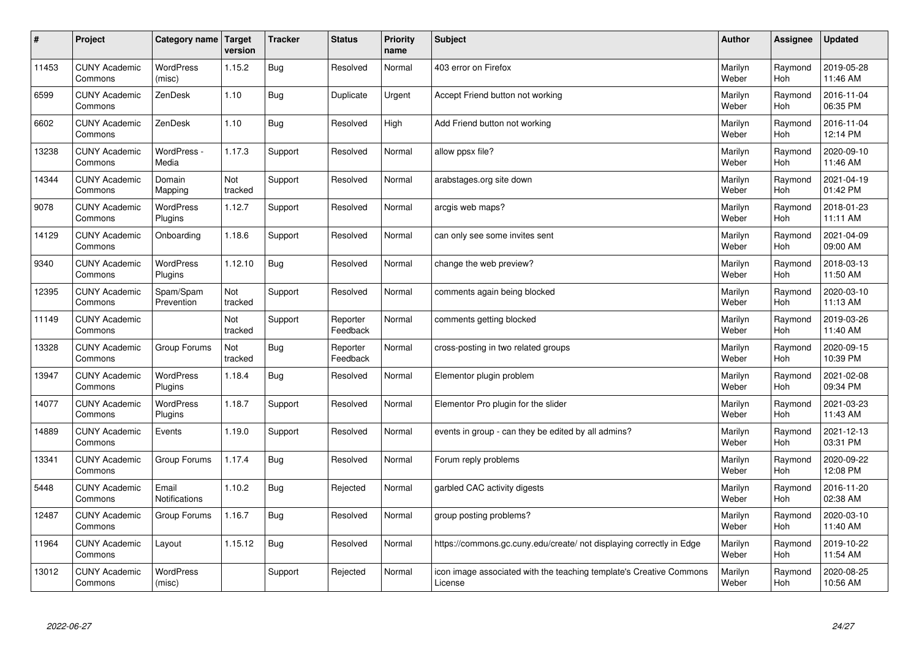| $\sharp$ | Project                         | Category name               | Target<br>version | <b>Tracker</b> | <b>Status</b>        | <b>Priority</b><br>name | <b>Subject</b>                                                                 | <b>Author</b>    | Assignee       | <b>Updated</b>         |
|----------|---------------------------------|-----------------------------|-------------------|----------------|----------------------|-------------------------|--------------------------------------------------------------------------------|------------------|----------------|------------------------|
| 11453    | <b>CUNY Academic</b><br>Commons | <b>WordPress</b><br>(misc)  | 1.15.2            | <b>Bug</b>     | Resolved             | Normal                  | 403 error on Firefox                                                           | Marilyn<br>Weber | Raymond<br>Hoh | 2019-05-28<br>11:46 AM |
| 6599     | <b>CUNY Academic</b><br>Commons | ZenDesk                     | 1.10              | <b>Bug</b>     | Duplicate            | Urgent                  | Accept Friend button not working                                               | Marilyn<br>Weber | Raymond<br>Hoh | 2016-11-04<br>06:35 PM |
| 6602     | <b>CUNY Academic</b><br>Commons | ZenDesk                     | 1.10              | <b>Bug</b>     | Resolved             | High                    | Add Friend button not working                                                  | Marilyn<br>Weber | Raymond<br>Hoh | 2016-11-04<br>12:14 PM |
| 13238    | <b>CUNY Academic</b><br>Commons | WordPress -<br>Media        | 1.17.3            | Support        | Resolved             | Normal                  | allow ppsx file?                                                               | Marilyn<br>Weber | Raymond<br>Hoh | 2020-09-10<br>11:46 AM |
| 14344    | <b>CUNY Academic</b><br>Commons | Domain<br>Mapping           | Not<br>tracked    | Support        | Resolved             | Normal                  | arabstages.org site down                                                       | Marilyn<br>Weber | Raymond<br>Hoh | 2021-04-19<br>01:42 PM |
| 9078     | <b>CUNY Academic</b><br>Commons | WordPress<br>Plugins        | 1.12.7            | Support        | Resolved             | Normal                  | arcgis web maps?                                                               | Marilyn<br>Weber | Raymond<br>Hoh | 2018-01-23<br>11:11 AM |
| 14129    | <b>CUNY Academic</b><br>Commons | Onboarding                  | 1.18.6            | Support        | Resolved             | Normal                  | can only see some invites sent                                                 | Marilyn<br>Weber | Raymond<br>Hoh | 2021-04-09<br>09:00 AM |
| 9340     | <b>CUNY Academic</b><br>Commons | WordPress<br>Plugins        | 1.12.10           | <b>Bug</b>     | Resolved             | Normal                  | change the web preview?                                                        | Marilyn<br>Weber | Raymond<br>Hoh | 2018-03-13<br>11:50 AM |
| 12395    | <b>CUNY Academic</b><br>Commons | Spam/Spam<br>Prevention     | Not<br>tracked    | Support        | Resolved             | Normal                  | comments again being blocked                                                   | Marilyn<br>Weber | Raymond<br>Hoh | 2020-03-10<br>11:13 AM |
| 11149    | <b>CUNY Academic</b><br>Commons |                             | Not<br>tracked    | Support        | Reporter<br>Feedback | Normal                  | comments getting blocked                                                       | Marilyn<br>Weber | Raymond<br>Hoh | 2019-03-26<br>11:40 AM |
| 13328    | <b>CUNY Academic</b><br>Commons | Group Forums                | Not<br>tracked    | Bug            | Reporter<br>Feedback | Normal                  | cross-posting in two related groups                                            | Marilyn<br>Weber | Raymond<br>Hoh | 2020-09-15<br>10:39 PM |
| 13947    | <b>CUNY Academic</b><br>Commons | <b>WordPress</b><br>Plugins | 1.18.4            | <b>Bug</b>     | Resolved             | Normal                  | Elementor plugin problem                                                       | Marilyn<br>Weber | Raymond<br>Hoh | 2021-02-08<br>09:34 PM |
| 14077    | <b>CUNY Academic</b><br>Commons | <b>WordPress</b><br>Plugins | 1.18.7            | Support        | Resolved             | Normal                  | Elementor Pro plugin for the slider                                            | Marilyn<br>Weber | Raymond<br>Hoh | 2021-03-23<br>11:43 AM |
| 14889    | <b>CUNY Academic</b><br>Commons | Events                      | 1.19.0            | Support        | Resolved             | Normal                  | events in group - can they be edited by all admins?                            | Marilyn<br>Weber | Raymond<br>Hoh | 2021-12-13<br>03:31 PM |
| 13341    | <b>CUNY Academic</b><br>Commons | Group Forums                | 1.17.4            | <b>Bug</b>     | Resolved             | Normal                  | Forum reply problems                                                           | Marilyn<br>Weber | Raymond<br>Hoh | 2020-09-22<br>12:08 PM |
| 5448     | <b>CUNY Academic</b><br>Commons | Email<br>Notifications      | 1.10.2            | <b>Bug</b>     | Rejected             | Normal                  | garbled CAC activity digests                                                   | Marilyn<br>Weber | Raymond<br>Hoh | 2016-11-20<br>02:38 AM |
| 12487    | <b>CUNY Academic</b><br>Commons | Group Forums                | 1.16.7            | <b>Bug</b>     | Resolved             | Normal                  | group posting problems?                                                        | Marilyn<br>Weber | Raymond<br>Hoh | 2020-03-10<br>11:40 AM |
| 11964    | <b>CUNY Academic</b><br>Commons | Layout                      | 1.15.12           | Bug            | Resolved             | Normal                  | https://commons.gc.cuny.edu/create/ not displaying correctly in Edge           | Marilyn<br>Weber | Raymond<br>Hoh | 2019-10-22<br>11:54 AM |
| 13012    | <b>CUNY Academic</b><br>Commons | WordPress<br>(misc)         |                   | Support        | Rejected             | Normal                  | icon image associated with the teaching template's Creative Commons<br>License | Marilyn<br>Weber | Raymond<br>Hoh | 2020-08-25<br>10:56 AM |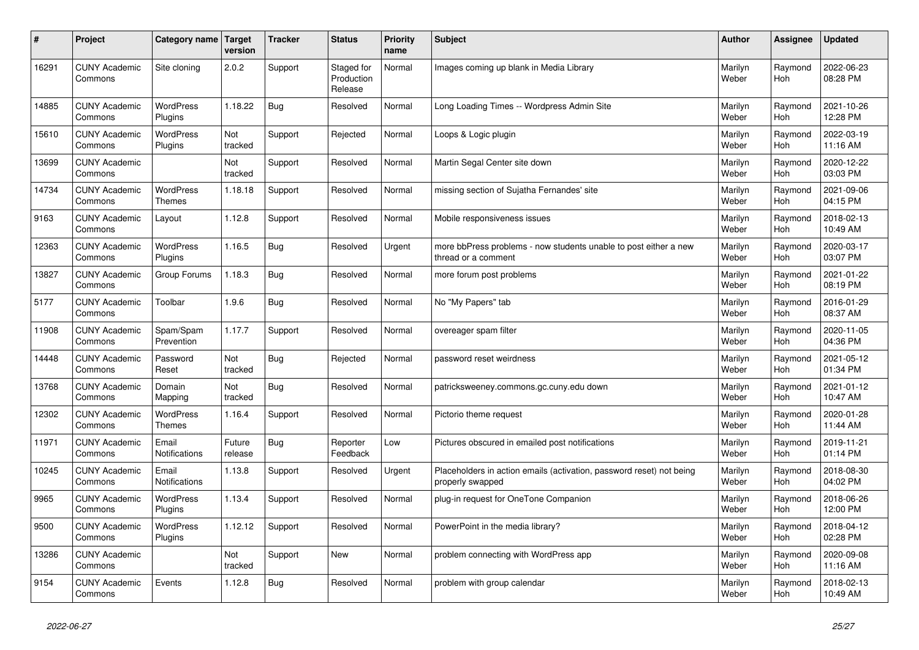| $\pmb{\sharp}$ | Project                         | Category name               | Target<br>version | <b>Tracker</b> | <b>Status</b>                       | <b>Priority</b><br>name | <b>Subject</b>                                                                           | <b>Author</b>    | <b>Assignee</b> | <b>Updated</b>         |
|----------------|---------------------------------|-----------------------------|-------------------|----------------|-------------------------------------|-------------------------|------------------------------------------------------------------------------------------|------------------|-----------------|------------------------|
| 16291          | <b>CUNY Academic</b><br>Commons | Site cloning                | 2.0.2             | Support        | Staged for<br>Production<br>Release | Normal                  | Images coming up blank in Media Library                                                  | Marilyn<br>Weber | Raymond<br>Hoh  | 2022-06-23<br>08:28 PM |
| 14885          | <b>CUNY Academic</b><br>Commons | <b>WordPress</b><br>Plugins | 1.18.22           | Bug            | Resolved                            | Normal                  | Long Loading Times -- Wordpress Admin Site                                               | Marilyn<br>Weber | Raymond<br>Hoh  | 2021-10-26<br>12:28 PM |
| 15610          | <b>CUNY Academic</b><br>Commons | <b>WordPress</b><br>Plugins | Not<br>tracked    | Support        | Rejected                            | Normal                  | Loops & Logic plugin                                                                     | Marilyn<br>Weber | Raymond<br>Hoh  | 2022-03-19<br>11:16 AM |
| 13699          | <b>CUNY Academic</b><br>Commons |                             | Not<br>tracked    | Support        | Resolved                            | Normal                  | Martin Segal Center site down                                                            | Marilyn<br>Weber | Raymond<br>Hoh  | 2020-12-22<br>03:03 PM |
| 14734          | <b>CUNY Academic</b><br>Commons | WordPress<br><b>Themes</b>  | 1.18.18           | Support        | Resolved                            | Normal                  | missing section of Sujatha Fernandes' site                                               | Marilyn<br>Weber | Raymond<br>Hoh  | 2021-09-06<br>04:15 PM |
| 9163           | <b>CUNY Academic</b><br>Commons | Layout                      | 1.12.8            | Support        | Resolved                            | Normal                  | Mobile responsiveness issues                                                             | Marilyn<br>Weber | Raymond<br>Hoh  | 2018-02-13<br>10:49 AM |
| 12363          | <b>CUNY Academic</b><br>Commons | WordPress<br>Plugins        | 1.16.5            | <b>Bug</b>     | Resolved                            | Urgent                  | more bbPress problems - now students unable to post either a new<br>thread or a comment  | Marilyn<br>Weber | Raymond<br>Hoh  | 2020-03-17<br>03:07 PM |
| 13827          | <b>CUNY Academic</b><br>Commons | Group Forums                | 1.18.3            | <b>Bug</b>     | Resolved                            | Normal                  | more forum post problems                                                                 | Marilyn<br>Weber | Raymond<br>Hoh  | 2021-01-22<br>08:19 PM |
| 5177           | <b>CUNY Academic</b><br>Commons | Toolbar                     | 1.9.6             | Bug            | Resolved                            | Normal                  | No "My Papers" tab                                                                       | Marilyn<br>Weber | Raymond<br>Hoh  | 2016-01-29<br>08:37 AM |
| 11908          | <b>CUNY Academic</b><br>Commons | Spam/Spam<br>Prevention     | 1.17.7            | Support        | Resolved                            | Normal                  | overeager spam filter                                                                    | Marilyn<br>Weber | Raymond<br>Hoh  | 2020-11-05<br>04:36 PM |
| 14448          | <b>CUNY Academic</b><br>Commons | Password<br>Reset           | Not<br>tracked    | Bug            | Rejected                            | Normal                  | password reset weirdness                                                                 | Marilyn<br>Weber | Raymond<br>Hoh  | 2021-05-12<br>01:34 PM |
| 13768          | <b>CUNY Academic</b><br>Commons | Domain<br>Mapping           | Not<br>tracked    | Bug            | Resolved                            | Normal                  | patricksweeney.commons.gc.cuny.edu down                                                  | Marilyn<br>Weber | Raymond<br>Hoh  | 2021-01-12<br>10:47 AM |
| 12302          | <b>CUNY Academic</b><br>Commons | <b>WordPress</b><br>Themes  | 1.16.4            | Support        | Resolved                            | Normal                  | Pictorio theme request                                                                   | Marilyn<br>Weber | Raymond<br>Hoh  | 2020-01-28<br>11:44 AM |
| 11971          | <b>CUNY Academic</b><br>Commons | Email<br>Notifications      | Future<br>release | Bug            | Reporter<br>Feedback                | Low                     | Pictures obscured in emailed post notifications                                          | Marilyn<br>Weber | Raymond<br>Hoh  | 2019-11-21<br>01:14 PM |
| 10245          | <b>CUNY Academic</b><br>Commons | Email<br>Notifications      | 1.13.8            | Support        | Resolved                            | Urgent                  | Placeholders in action emails (activation, password reset) not being<br>properly swapped | Marilyn<br>Weber | Raymond<br>Hoh  | 2018-08-30<br>04:02 PM |
| 9965           | <b>CUNY Academic</b><br>Commons | WordPress<br>Plugins        | 1.13.4            | Support        | Resolved                            | Normal                  | plug-in request for OneTone Companion                                                    | Marilyn<br>Weber | Raymond<br>Hoh  | 2018-06-26<br>12:00 PM |
| 9500           | <b>CUNY Academic</b><br>Commons | <b>WordPress</b><br>Plugins | 1.12.12           | Support        | Resolved                            | Normal                  | PowerPoint in the media library?                                                         | Marilyn<br>Weber | Raymond<br>Hoh  | 2018-04-12<br>02:28 PM |
| 13286          | <b>CUNY Academic</b><br>Commons |                             | Not<br>tracked    | Support        | <b>New</b>                          | Normal                  | problem connecting with WordPress app                                                    | Marilyn<br>Weber | Raymond<br>Hoh  | 2020-09-08<br>11:16 AM |
| 9154           | <b>CUNY Academic</b><br>Commons | Events                      | 1.12.8            | Bug            | Resolved                            | Normal                  | problem with group calendar                                                              | Marilyn<br>Weber | Raymond<br>Hoh  | 2018-02-13<br>10:49 AM |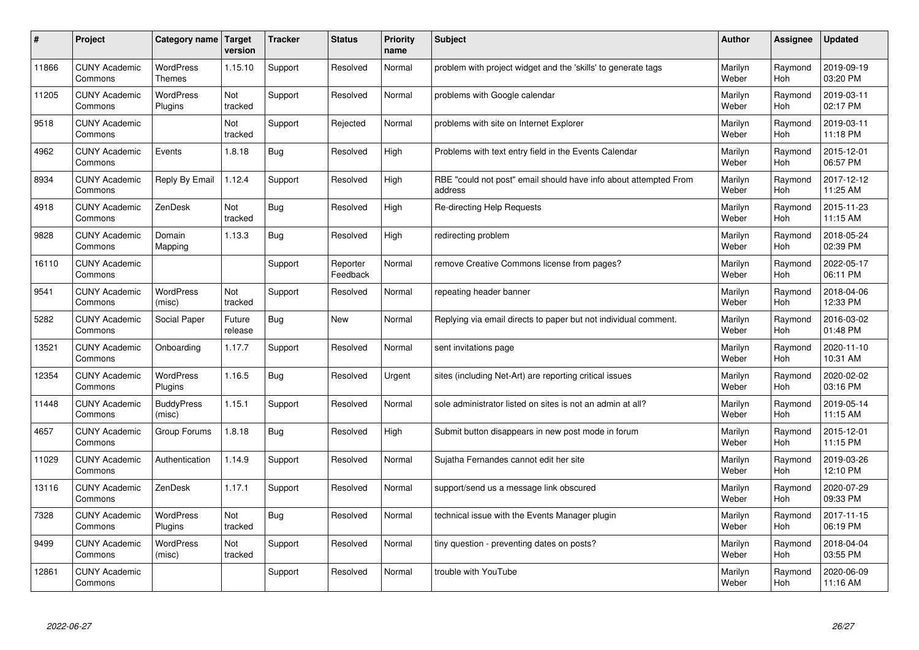| $\pmb{\sharp}$ | Project                         | Category name               | <b>Target</b><br>version | <b>Tracker</b> | <b>Status</b>        | <b>Priority</b><br>name | Subject                                                                     | <b>Author</b>    | Assignee              | <b>Updated</b>         |
|----------------|---------------------------------|-----------------------------|--------------------------|----------------|----------------------|-------------------------|-----------------------------------------------------------------------------|------------------|-----------------------|------------------------|
| 11866          | <b>CUNY Academic</b><br>Commons | WordPress<br><b>Themes</b>  | 1.15.10                  | Support        | Resolved             | Normal                  | problem with project widget and the 'skills' to generate tags               | Marilyn<br>Weber | Raymond<br><b>Hoh</b> | 2019-09-19<br>03:20 PM |
| 11205          | <b>CUNY Academic</b><br>Commons | <b>WordPress</b><br>Plugins | Not<br>tracked           | Support        | Resolved             | Normal                  | problems with Google calendar                                               | Marilyn<br>Weber | Raymond<br>Hoh        | 2019-03-11<br>02:17 PM |
| 9518           | <b>CUNY Academic</b><br>Commons |                             | Not<br>tracked           | Support        | Rejected             | Normal                  | problems with site on Internet Explorer                                     | Marilyn<br>Weber | Raymond<br>Hoh        | 2019-03-11<br>11:18 PM |
| 4962           | <b>CUNY Academic</b><br>Commons | Events                      | 1.8.18                   | <b>Bug</b>     | Resolved             | High                    | Problems with text entry field in the Events Calendar                       | Marilyn<br>Weber | Raymond<br>Hoh        | 2015-12-01<br>06:57 PM |
| 8934           | <b>CUNY Academic</b><br>Commons | Reply By Email              | 1.12.4                   | Support        | Resolved             | High                    | RBE "could not post" email should have info about attempted From<br>address | Marilyn<br>Weber | Raymond<br>Hoh        | 2017-12-12<br>11:25 AM |
| 4918           | <b>CUNY Academic</b><br>Commons | ZenDesk                     | Not<br>tracked           | <b>Bug</b>     | Resolved             | High                    | Re-directing Help Requests                                                  | Marilyn<br>Weber | Raymond<br>Hoh        | 2015-11-23<br>11:15 AM |
| 9828           | <b>CUNY Academic</b><br>Commons | Domain<br>Mapping           | 1.13.3                   | <b>Bug</b>     | Resolved             | High                    | redirecting problem                                                         | Marilyn<br>Weber | Raymond<br><b>Hoh</b> | 2018-05-24<br>02:39 PM |
| 16110          | <b>CUNY Academic</b><br>Commons |                             |                          | Support        | Reporter<br>Feedback | Normal                  | remove Creative Commons license from pages?                                 | Marilyn<br>Weber | Raymond<br>Hoh        | 2022-05-17<br>06:11 PM |
| 9541           | <b>CUNY Academic</b><br>Commons | <b>WordPress</b><br>(misc)  | Not<br>tracked           | Support        | Resolved             | Normal                  | repeating header banner                                                     | Marilyn<br>Weber | Raymond<br>Hoh        | 2018-04-06<br>12:33 PM |
| 5282           | <b>CUNY Academic</b><br>Commons | Social Paper                | Future<br>release        | <b>Bug</b>     | <b>New</b>           | Normal                  | Replying via email directs to paper but not individual comment.             | Marilyn<br>Weber | Raymond<br>Hoh        | 2016-03-02<br>01:48 PM |
| 13521          | <b>CUNY Academic</b><br>Commons | Onboarding                  | 1.17.7                   | Support        | Resolved             | Normal                  | sent invitations page                                                       | Marilyn<br>Weber | Raymond<br>Hoh        | 2020-11-10<br>10:31 AM |
| 12354          | <b>CUNY Academic</b><br>Commons | WordPress<br>Plugins        | 1.16.5                   | <b>Bug</b>     | Resolved             | Urgent                  | sites (including Net-Art) are reporting critical issues                     | Marilyn<br>Weber | Raymond<br>Hoh        | 2020-02-02<br>03:16 PM |
| 11448          | <b>CUNY Academic</b><br>Commons | <b>BuddyPress</b><br>(misc) | 1.15.1                   | Support        | Resolved             | Normal                  | sole administrator listed on sites is not an admin at all?                  | Marilyn<br>Weber | Raymond<br>Hoh        | 2019-05-14<br>11:15 AM |
| 4657           | <b>CUNY Academic</b><br>Commons | Group Forums                | 1.8.18                   | <b>Bug</b>     | Resolved             | High                    | Submit button disappears in new post mode in forum                          | Marilyn<br>Weber | Raymond<br>Hoh        | 2015-12-01<br>11:15 PM |
| 11029          | <b>CUNY Academic</b><br>Commons | Authentication              | 1.14.9                   | Support        | Resolved             | Normal                  | Sujatha Fernandes cannot edit her site                                      | Marilyn<br>Weber | Raymond<br>Hoh        | 2019-03-26<br>12:10 PM |
| 13116          | <b>CUNY Academic</b><br>Commons | ZenDesk                     | 1.17.1                   | Support        | Resolved             | Normal                  | support/send us a message link obscured                                     | Marilyn<br>Weber | Raymond<br>Hoh        | 2020-07-29<br>09:33 PM |
| 7328           | <b>CUNY Academic</b><br>Commons | <b>WordPress</b><br>Plugins | Not<br>tracked           | <b>Bug</b>     | Resolved             | Normal                  | technical issue with the Events Manager plugin                              | Marilyn<br>Weber | Raymond<br>Hoh        | 2017-11-15<br>06:19 PM |
| 9499           | <b>CUNY Academic</b><br>Commons | <b>WordPress</b><br>(misc)  | Not<br>tracked           | Support        | Resolved             | Normal                  | tiny question - preventing dates on posts?                                  | Marilyn<br>Weber | Raymond<br>Hoh        | 2018-04-04<br>03:55 PM |
| 12861          | <b>CUNY Academic</b><br>Commons |                             |                          | Support        | Resolved             | Normal                  | trouble with YouTube                                                        | Marilyn<br>Weber | Raymond<br>Hoh        | 2020-06-09<br>11:16 AM |